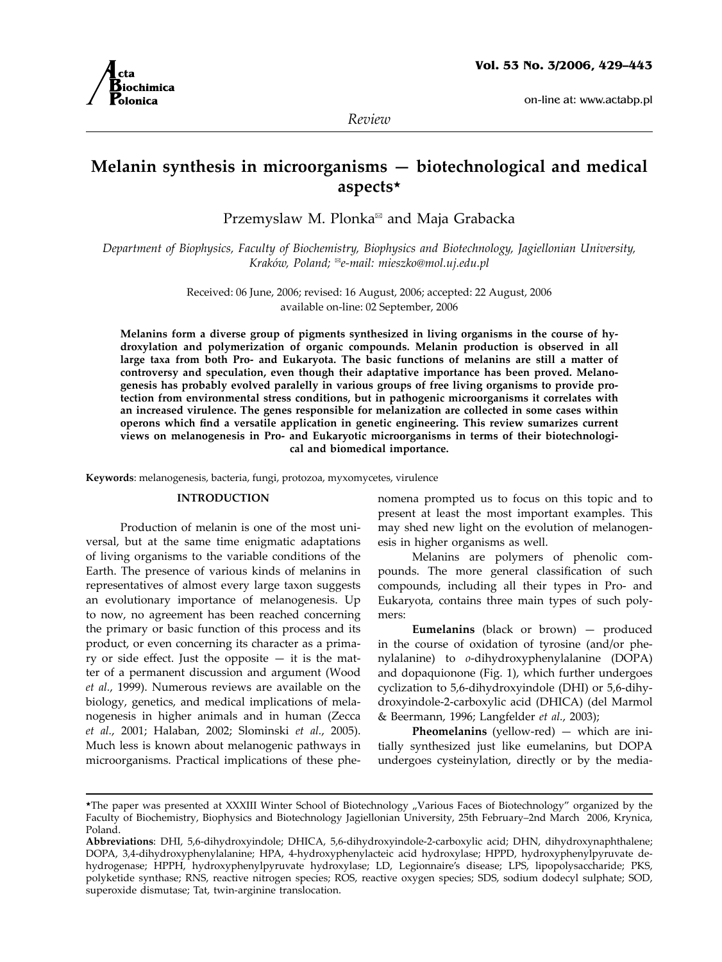on-line at: www.actabp.pl



*Review*

# **Melanin synthesis in microorganisms — biotechnological and medical aspects**\*

Przemyslaw M. Plonka<sup>⊠</sup> and Maja Grabacka

*Department of Biophysics, Faculty of Biochemistry, Biophysics and Biotechnology, Jagiellonian University, Kraków, Poland;* <sup>½</sup>*e-mail: mieszko@mol.uj.edu.pl*

> Received: 06 June, 2006; revised: 16 August, 2006; accepted: 22 August, 2006 available on-line: 02 September, 2006

**Melanins form a diverse group of pigments synthesized in living organisms in the course of hydroxylation and polymerization of organic compounds. Melanin production is observed in all large taxa from both Pro- and Eukaryota. The basic functions of melanins are still a matter of controversy and speculation, even though their adaptative importance has been proved. Melanogenesis has probably evolved paralelly in various groups of free living organisms to provide protection from environmental stress conditions, but in pathogenic microorganisms it correlates with an increased virulence. The genes responsible for melanization are collected in some cases within operons which find a versatile application in genetic engineering. This review sumarizes current views on melanogenesis in Pro- and Eukaryotic microorganisms in terms of their biotechnological and biomedical importance.**

**Keywords**: melanogenesis, bacteria, fungi, protozoa, myxomycetes, virulence

### **Introduction**

Production of melanin is one of the most universal, but at the same time enigmatic adaptations of living organisms to the variable conditions of the Earth. The presence of various kinds of melanins in representatives of almost every large taxon suggests an evolutionary importance of melanogenesis. Up to now, no agreement has been reached concerning the primary or basic function of this process and its product, or even concerning its character as a primary or side effect. Just the opposite  $-$  it is the matter of a permanent discussion and argument (Wood *et al.*, 1999). Numerous reviews are available on the biology, genetics, and medical implications of melanogenesis in higher animals and in human (Zecca *et al.*, 2001; Halaban, 2002; Slominski *et al.*, 2005). Much less is known about melanogenic pathways in microorganisms. Practical implications of these phenomena prompted us to focus on this topic and to present at least the most important examples. This may shed new light on the evolution of melanogenesis in higher organisms as well.

Melanins are polymers of phenolic compounds. The more general classification of such compounds, including all their types in Pro- and Eukaryota, contains three main types of such polymers:

**Eumelanins** (black or brown) — produced in the course of oxidation of tyrosine (and/or phenylalanine) to *o*-dihydroxyphenylalanine (DOPA) and dopaquionone (Fig. 1), which further undergoes cyclization to 5,6-dihydroxyindole (DHI) or 5,6-dihydroxyindole-2-carboxylic acid (DHICA) (del Marmol & Beermann, 1996; Langfelder *et al.*, 2003);

**Pheomelanins** (yellow-red) — which are initially synthesized just like eumelanins, but DOPA undergoes cysteinylation, directly or by the media-

<sup>\*</sup>The paper was presented at XXXIII Winter School of Biotechnology "Various Faces of Biotechnology" organized by the Faculty of Biochemistry, Biophysics and Biotechnology Jagiellonian University, 25th February–2nd March 2006, Krynica, Poland.

**Abbreviations**: DHI, 5,6-dihydroxyindole; DHICA, 5,6-dihydroxyindole-2-carboxylic acid; DHN, dihydroxynaphthalene; DOPA, 3,4-dihydroxyphenylalanine; HPA, 4-hydroxyphenylacteic acid hydroxylase; HPPD, hydroxyphenylpyruvate dehydrogenase; HPPH, hydroxyphenylpyruvate hydroxylase; LD, Legionnaire's disease; LPS, lipopolysaccharide; PKS, polyketide synthase; RNS, reactive nitrogen species; ROS, reactive oxygen species; SDS, sodium dodecyl sulphate; SOD, superoxide dismutase; Tat, twin-arginine translocation.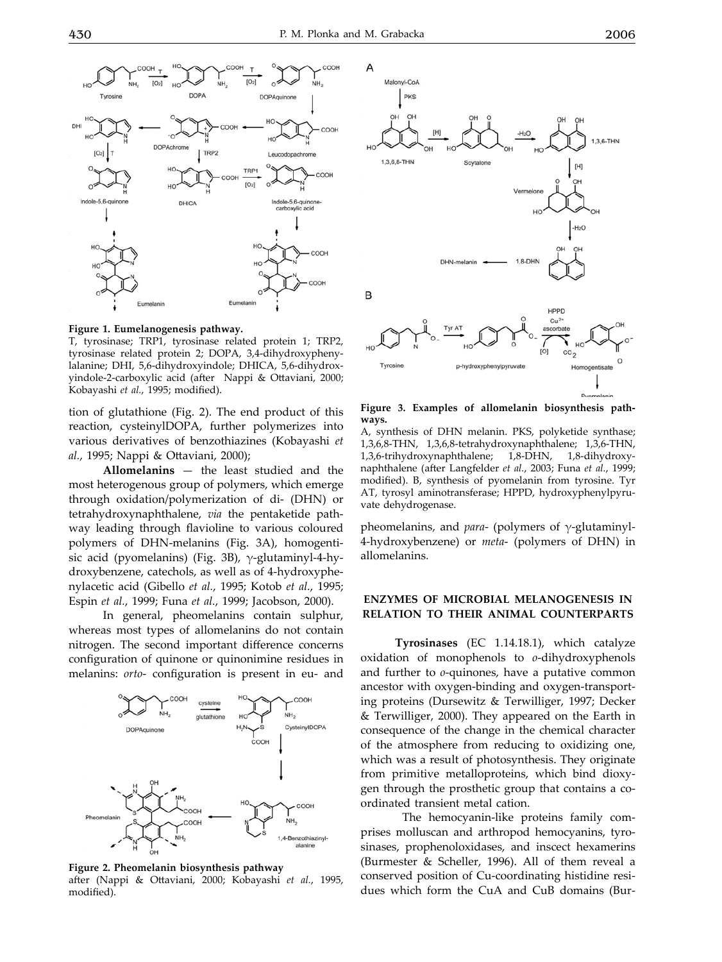COOH COOH  $IO<sub>2</sub>$  $[O<sub>2</sub>]$ .<br>NH。 NH. нc NH<sub>2</sub> HC DOPA DOPAquino Tyro нo DH COOH **DOPAch** TRP2  $[O<sub>2</sub>]$ Leucodopachro TRP<sup>1</sup> COOH COOH  $[O<sub>2</sub>]$ dole-5,6-quinon<br>carboxylic acid  $6.5$  B. cu sin **DHICA** HO. COOL



T, tyrosinase; TRP1, tyrosinase related protein 1; TRP2, tyrosinase related protein 2; DOPA, 3,4-dihydroxyphenylalanine; DHI, 5,6-dihydroxyindole; DHICA, 5,6-dihydroxyindole-2-carboxylic acid (after Nappi & Ottaviani, 2000; Kobayashi *et al.*, 1995; modified).

tion of glutathione (Fig. 2). The end product of this reaction, cysteinylDOPA, further polymerizes into various derivatives of benzothiazines (Kobayashi *et al.*, 1995; Nappi & Ottaviani, 2000);

**Allomelanins** — the least studied and the most heterogenous group of polymers, which emerge through oxidation/polymerization of di- (DHN) or tetrahydroxynaphthalene, *via* the pentaketide pathway leading through flavioline to various coloured polymers of DHN-melanins (Fig. 3A), homogentisic acid (pyomelanins) (Fig. 3B), γ-glutaminyl-4-hydroxybenzene, catechols, as well as of 4-hydroxyphenylacetic acid (Gibello *et al.*, 1995; Kotob *et al.*, 1995; Espin *et al.*, 1999; Funa *et al.*, 1999; Jacobson, 2000).

In general, pheomelanins contain sulphur, whereas most types of allomelanins do not contain nitrogen. The second important difference concerns configuration of quinone or quinonimine residues in melanins: *orto*- configuration is present in eu- and



**Figure 2. Pheomelanin biosynthesis pathway**

after (Nappi & Ottaviani, 2000; Kobayashi *et al.*, 1995, modified).



**Figure 3. Examples of allomelanin biosynthesis pathways.**

A, synthesis of DHN melanin. PKS, polyketide synthase; 1,3,6,8-THN, 1,3,6,8-tetrahydroxynaphthalene; 1,3,6-THN, 1,3,6-trihydroxynaphthalene; 1,8-DHN, 1,8-dihydroxynaphthalene (after Langfelder *et al.*, 2003; Funa *et al.*, 1999; modified). B, synthesis of pyomelanin from tyrosine. Tyr AT, tyrosyl aminotransferase; HPPD, hydroxyphenylpyruvate dehydrogenase.

pheomelanins, and *para*- (polymers of γ-glutaminyl-4-hydroxybenzene) or *meta*- (polymers of DHN) in allomelanins.

#### **Enzymes of microbial melanogenesis in relation to their animal counterparts**

**Tyrosinases** (EC 1.14.18.1), which catalyze oxidation of monophenols to *o*-dihydroxyphenols and further to *o*-quinones, have a putative common ancestor with oxygen-binding and oxygen-transporting proteins (Dursewitz & Terwilliger, 1997; Decker & Terwilliger, 2000). They appeared on the Earth in consequence of the change in the chemical character of the atmosphere from reducing to oxidizing one, which was a result of photosynthesis. They originate from primitive metalloproteins, which bind dioxygen through the prosthetic group that contains a coordinated transient metal cation.

 The hemocyanin-like proteins family comprises molluscan and arthropod hemocyanins, tyrosinases, prophenoloxidases, and inscect hexamerins (Burmester & Scheller, 1996). All of them reveal a conserved position of Cu-coordinating histidine residues which form the CuA and CuB domains (Bur-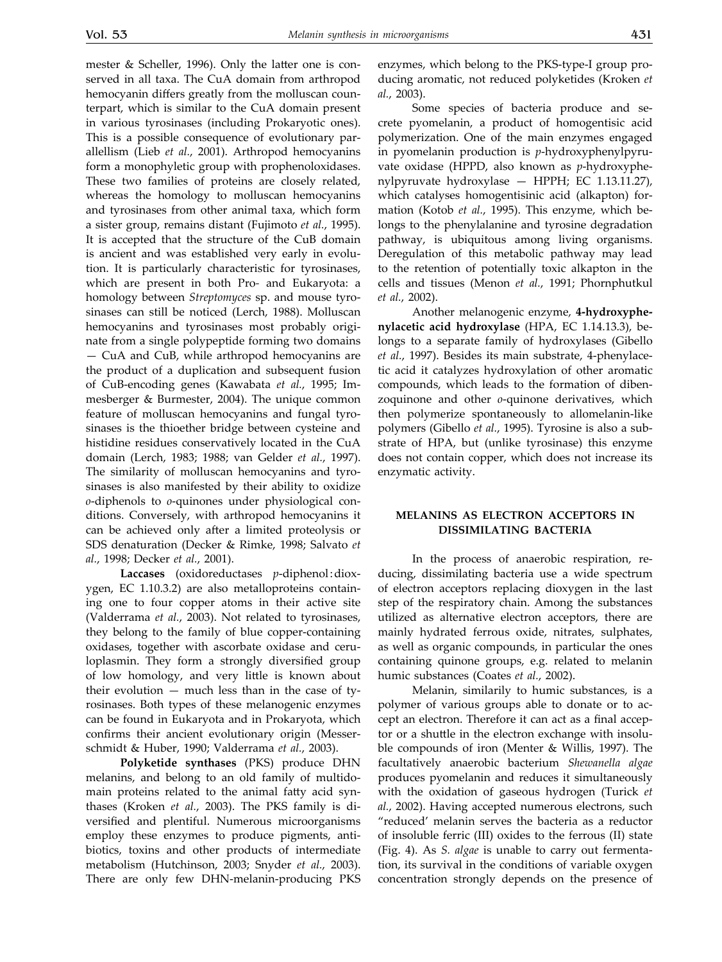mester & Scheller, 1996). Only the latter one is conserved in all taxa. The CuA domain from arthropod hemocyanin differs greatly from the molluscan counterpart, which is similar to the CuA domain present in various tyrosinases (including Prokaryotic ones). This is a possible consequence of evolutionary parallellism (Lieb *et al.*, 2001). Arthropod hemocyanins form a monophyletic group with prophenoloxidases. These two families of proteins are closely related, whereas the homology to molluscan hemocyanins and tyrosinases from other animal taxa, which form a sister group, remains distant (Fujimoto *et al.*, 1995). It is accepted that the structure of the CuB domain is ancient and was established very early in evolution. It is particularly characteristic for tyrosinases, which are present in both Pro*-* and Eukaryota: a homology between *Streptomyces* sp. and mouse tyrosinases can still be noticed (Lerch, 1988). Molluscan hemocyanins and tyrosinases most probably originate from a single polypeptide forming two domains — CuA and CuB, while arthropod hemocyanins are the product of a duplication and subsequent fusion of CuB-encoding genes (Kawabata *et al.*, 1995; Immesberger & Burmester, 2004). The unique common feature of molluscan hemocyanins and fungal tyrosinases is the thioether bridge between cysteine and histidine residues conservatively located in the CuA domain (Lerch, 1983; 1988; van Gelder *et al.*, 1997). The similarity of molluscan hemocyanins and tyrosinases is also manifested by their ability to oxidize *o*-diphenols to *o*-quinones under physiological conditions. Conversely, with arthropod hemocyanins it can be achieved only after a limited proteolysis or SDS denaturation (Decker & Rimke, 1998; Salvato *et al.*, 1998; Decker *et al.*, 2001).

**Laccases** (oxidoreductases *p*-diphenol:dioxygen, EC 1.10.3.2) are also metalloproteins containing one to four copper atoms in their active site (Valderrama *et al.*, 2003). Not related to tyrosinases, they belong to the family of blue copper-containing oxidases, together with ascorbate oxidase and ceruloplasmin. They form a strongly diversified group of low homology, and very little is known about their evolution — much less than in the case of tyrosinases. Both types of these melanogenic enzymes can be found in Eukaryota and in Prokaryota, which confirms their ancient evolutionary origin (Messerschmidt & Huber, 1990; Valderrama *et al.*, 2003).

**Polyketide synthases** (PKS) produce DHN melanins, and belong to an old family of multidomain proteins related to the animal fatty acid synthases (Kroken *et al.*, 2003). The PKS family is diversified and plentiful. Numerous microorganisms employ these enzymes to produce pigments, antibiotics, toxins and other products of intermediate metabolism (Hutchinson, 2003; Snyder *et al.*, 2003). There are only few DHN-melanin-producing PKS enzymes, which belong to the PKS-type-I group producing aromatic, not reduced polyketides (Kroken *et al.*, 2003).

Some species of bacteria produce and secrete pyomelanin, a product of homogentisic acid polymerization. One of the main enzymes engaged in pyomelanin production is *p*-hydroxyphenylpyruvate oxidase (HPPD, also known as *p*-hydroxyphenylpyruvate hydroxylase — HPPH; EC 1.13.11.27), which catalyses homogentisinic acid (alkapton) formation (Kotob *et al.*, 1995). This enzyme, which belongs to the phenylalanine and tyrosine degradation pathway, is ubiquitous among living organisms. Deregulation of this metabolic pathway may lead to the retention of potentially toxic alkapton in the cells and tissues (Menon *et al.*, 1991; Phornphutkul *et al.*, 2002).

Another melanogenic enzyme, **4-hydroxyphenylacetic acid hydroxylase** (HPA, EC 1.14.13.3), belongs to a separate family of hydroxylases (Gibello *et al.*, 1997). Besides its main substrate, 4-phenylacetic acid it catalyzes hydroxylation of other aromatic compounds, which leads to the formation of dibenzoquinone and other *o*-quinone derivatives, which then polymerize spontaneously to allomelanin-like polymers (Gibello *et al.*, 1995). Tyrosine is also a substrate of HPA, but (unlike tyrosinase) this enzyme does not contain copper, which does not increase its enzymatic activity.

#### **Melanins as electron acceptors in dissimilating bacteria**

In the process of anaerobic respiration, reducing, dissimilating bacteria use a wide spectrum of electron acceptors replacing dioxygen in the last step of the respiratory chain. Among the substances utilized as alternative electron acceptors, there are mainly hydrated ferrous oxide, nitrates, sulphates, as well as organic compounds, in particular the ones containing quinone groups, e.g. related to melanin humic substances (Coates *et al.*, 2002).

Melanin, similarily to humic substances, is a polymer of various groups able to donate or to accept an electron. Therefore it can act as a final acceptor or a shuttle in the electron exchange with insoluble compounds of iron (Menter & Willis, 1997). The facultatively anaerobic bacterium *Shewanella algae* produces pyomelanin and reduces it simultaneously with the oxidation of gaseous hydrogen (Turick *et al.*, 2002). Having accepted numerous electrons, such "reduced' melanin serves the bacteria as a reductor of insoluble ferric (III) oxides to the ferrous (II) state (Fig. 4). As *S. algae* is unable to carry out fermentation, its survival in the conditions of variable oxygen concentration strongly depends on the presence of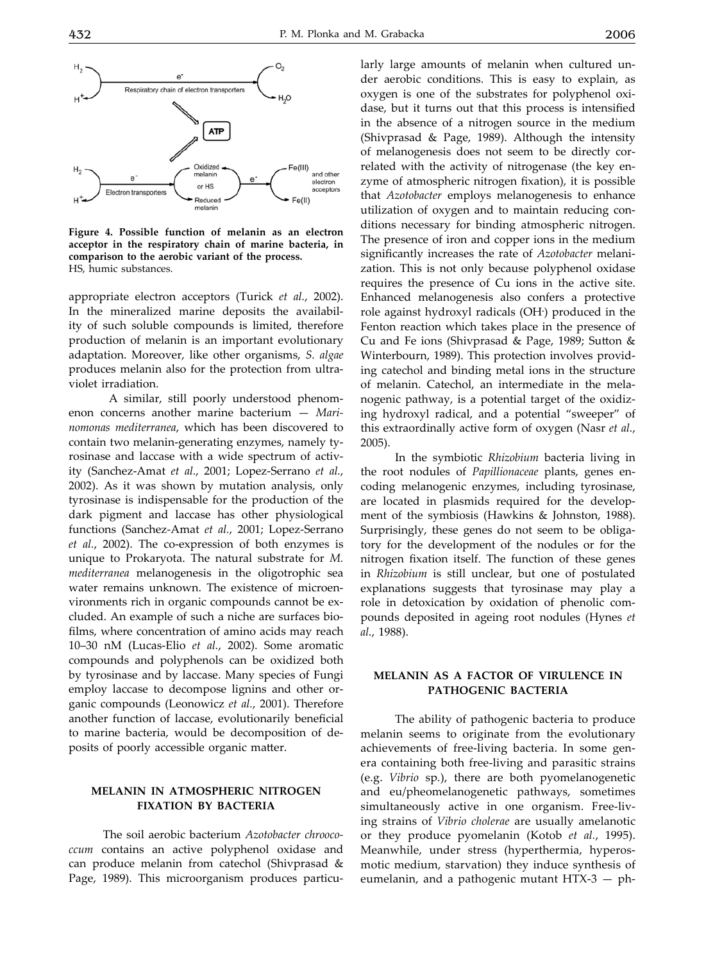

**Figure 4. Possible function of melanin as an electron acceptor in the respiratory chain of marine bacteria, in comparison to the aerobic variant of the process.** HS, humic substances.

appropriate electron acceptors (Turick *et al.*, 2002). In the mineralized marine deposits the availability of such soluble compounds is limited, therefore production of melanin is an important evolutionary adaptation. Moreover, like other organisms, *S. algae* produces melanin also for the protection from ultraviolet irradiation.

 A similar, still poorly understood phenomenon concerns another marine bacterium — *Marinomonas mediterranea*, which has been discovered to contain two melanin-generating enzymes, namely tyrosinase and laccase with a wide spectrum of activity (Sanchez-Amat *et al.*, 2001; Lopez-Serrano *et al.*, 2002). As it was shown by mutation analysis, only tyrosinase is indispensable for the production of the dark pigment and laccase has other physiological functions (Sanchez-Amat *et al.*, 2001; Lopez-Serrano *et al.*, 2002). The co-expression of both enzymes is unique to Prokaryota. The natural substrate for *M. mediterranea* melanogenesis in the oligotrophic sea water remains unknown. The existence of microenvironments rich in organic compounds cannot be excluded. An example of such a niche are surfaces biofilms, where concentration of amino acids may reach 10–30 nM (Lucas-Elio *et al.*, 2002). Some aromatic compounds and polyphenols can be oxidized both by tyrosinase and by laccase. Many species of Fungi employ laccase to decompose lignins and other organic compounds (Leonowicz *et al.*, 2001). Therefore another function of laccase, evolutionarily beneficial to marine bacteria, would be decomposition of deposits of poorly accessible organic matter.

### **Melanin in atmospheric nitrogen fixation by bacteria**

The soil aerobic bacterium *Azotobacter chroococcum* contains an active polyphenol oxidase and can produce melanin from catechol (Shivprasad & Page, 1989). This microorganism produces particularly large amounts of melanin when cultured under aerobic conditions. This is easy to explain, as oxygen is one of the substrates for polyphenol oxidase, but it turns out that this process is intensified in the absence of a nitrogen source in the medium (Shivprasad & Page, 1989). Although the intensity of melanogenesis does not seem to be directly correlated with the activity of nitrogenase (the key enzyme of atmospheric nitrogen fixation), it is possible that *Azotobacter* employs melanogenesis to enhance utilization of oxygen and to maintain reducing conditions necessary for binding atmospheric nitrogen. The presence of iron and copper ions in the medium significantly increases the rate of *Azotobacter* melanization. This is not only because polyphenol oxidase requires the presence of Cu ions in the active site. Enhanced melanogenesis also confers a protective role against hydroxyl radicals (OH**.** ) produced in the Fenton reaction which takes place in the presence of Cu and Fe ions (Shivprasad & Page, 1989; Sutton & Winterbourn, 1989). This protection involves providing catechol and binding metal ions in the structure of melanin. Catechol, an intermediate in the melanogenic pathway, is a potential target of the oxidizing hydroxyl radical, and a potential "sweeper" of this extraordinally active form of oxygen (Nasr *et al.*, 2005).

In the symbiotic *Rhizobium* bacteria living in the root nodules of *Papillionaceae* plants, genes encoding melanogenic enzymes, including tyrosinase, are located in plasmids required for the development of the symbiosis (Hawkins & Johnston, 1988). Surprisingly, these genes do not seem to be obligatory for the development of the nodules or for the nitrogen fixation itself. The function of these genes in *Rhizobium* is still unclear, but one of postulated explanations suggests that tyrosinase may play a role in detoxication by oxidation of phenolic compounds deposited in ageing root nodules (Hynes *et al.*, 1988).

#### **Melanin as a factor of virulence in pathogenic bacteria**

The ability of pathogenic bacteria to produce melanin seems to originate from the evolutionary achievements of free-living bacteria. In some genera containing both free-living and parasitic strains (e.g. *Vibrio* sp*.*), there are both pyomelanogenetic and eu/pheomelanogenetic pathways, sometimes simultaneously active in one organism. Free-living strains of *Vibrio cholerae* are usually amelanotic or they produce pyomelanin (Kotob *et al.*, 1995). Meanwhile, under stress (hyperthermia, hyperosmotic medium, starvation) they induce synthesis of eumelanin, and a pathogenic mutant HTX-3 — ph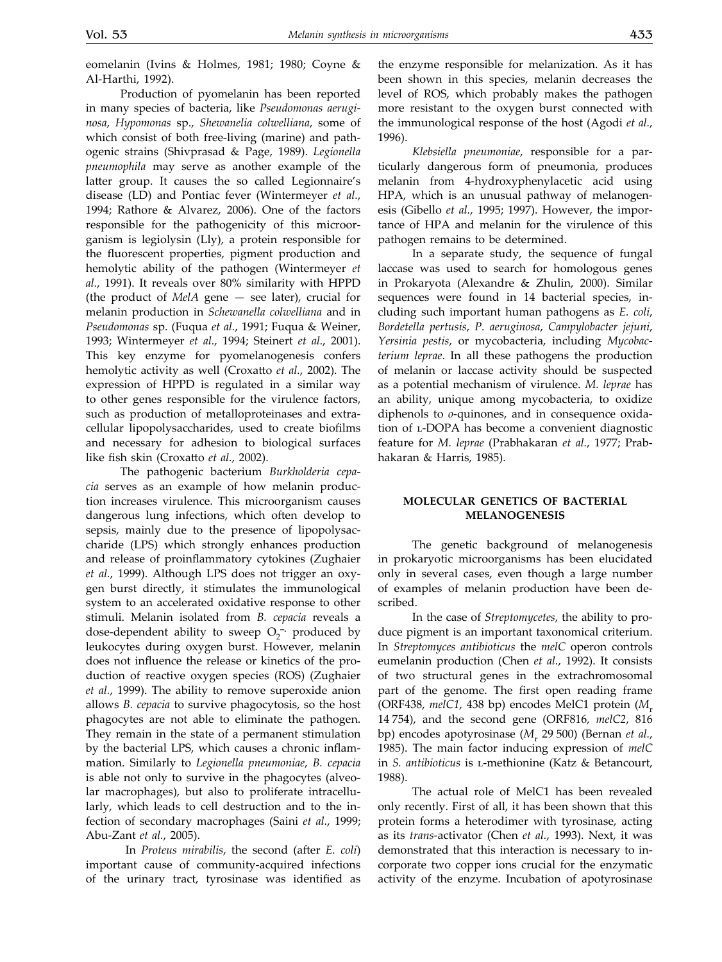eomelanin (Ivins & Holmes, 1981; 1980; Coyne & Al-Harthi, 1992).

Production of pyomelanin has been reported in many species of bacteria, like *Pseudomonas aeruginosa*, *Hypomonas* sp., *Shewanelia colwelliana*, some of which consist of both free-living (marine) and pathogenic strains (Shivprasad & Page, 1989). *Legionella pneumophila* may serve as another example of the latter group. It causes the so called Legionnaire's disease (LD) and Pontiac fever (Wintermeyer *et al.*, 1994; Rathore & Alvarez, 2006). One of the factors responsible for the pathogenicity of this microorganism is legiolysin (Lly), a protein responsible for the fluorescent properties, pigment production and hemolytic ability of the pathogen (Wintermeyer *et al.*, 1991). It reveals over 80% similarity with HPPD (the product of *MelA* gene — see later), crucial for melanin production in *Schewanella colwelliana* and in *Pseudomonas* sp. (Fuqua *et al.*, 1991; Fuqua & Weiner, 1993; Wintermeyer *et al.*, 1994; Steinert *et al.*, 2001). This key enzyme for pyomelanogenesis confers hemolytic activity as well (Croxatto *et al.*, 2002). The expression of HPPD is regulated in a similar way to other genes responsible for the virulence factors, such as production of metalloproteinases and extracellular lipopolysaccharides, used to create biofilms and necessary for adhesion to biological surfaces like fish skin (Croxatto *et al.*, 2002).

The pathogenic bacterium *Burkholderia cepacia* serves as an example of how melanin production increases virulence. This microorganism causes dangerous lung infections, which often develop to sepsis, mainly due to the presence of lipopolysaccharide (LPS) which strongly enhances production and release of proinflammatory cytokines (Zughaier *et al.*, 1999). Although LPS does not trigger an oxygen burst directly, it stimulates the immunological system to an accelerated oxidative response to other stimuli. Melanin isolated from *B. cepacia* reveals a dose-dependent ability to sweep O<sub>2</sub><sup>-</sup> produced by leukocytes during oxygen burst. However, melanin does not influence the release or kinetics of the production of reactive oxygen species (ROS) (Zughaier *et al.*, 1999). The ability to remove superoxide anion allows *B. cepacia* to survive phagocytosis, so the host phagocytes are not able to eliminate the pathogen. They remain in the state of a permanent stimulation by the bacterial LPS, which causes a chronic inflammation. Similarly to *Legionella pneumoniae*, *B. cepacia* is able not only to survive in the phagocytes (alveolar macrophages), but also to proliferate intracellularly, which leads to cell destruction and to the infection of secondary macrophages (Saini *et al.*, 1999; Abu-Zant *et al.*, 2005).

 In *Proteus mirabilis*, the second (after *E. coli*) important cause of community-acquired infections of the urinary tract, tyrosinase was identified as the enzyme responsible for melanization. As it has been shown in this species, melanin decreases the level of ROS, which probably makes the pathogen more resistant to the oxygen burst connected with the immunological response of the host (Agodi *et al.*, 1996).

*Klebsiella pneumoniae*, responsible for a particularly dangerous form of pneumonia, produces melanin from 4-hydroxyphenylacetic acid using HPA, which is an unusual pathway of melanogenesis (Gibello *et al.*, 1995; 1997). However, the importance of HPA and melanin for the virulence of this pathogen remains to be determined.

In a separate study, the sequence of fungal laccase was used to search for homologous genes in Prokaryota (Alexandre & Zhulin, 2000). Similar sequences were found in 14 bacterial species, including such important human pathogens as *E. coli*, *Bordetella pertusis*, *P. aeruginosa*, *Campylobacter jejuni*, *Yersinia pestis*, or mycobacteria, including *Mycobacterium leprae*. In all these pathogens the production of melanin or laccase activity should be suspected as a potential mechanism of virulence. *M. leprae* has an ability, unique among mycobacteria, to oxidize diphenols to *o*-quinones, and in consequence oxidation of l-DOPA has become a convenient diagnostic feature for *M. leprae* (Prabhakaran *et al.*, 1977; Prabhakaran & Harris, 1985).

### **Molecular genetics of bacterial melanogenesis**

The genetic background of melanogenesis in prokaryotic microorganisms has been elucidated only in several cases, even though a large number of examples of melanin production have been described.

In the case of *Streptomycetes*, the ability to produce pigment is an important taxonomical criterium. In *Streptomyces antibioticus* the *melC* operon controls eumelanin production (Chen *et al.*, 1992). It consists of two structural genes in the extrachromosomal part of the genome. The first open reading frame (ORF438, melC1, 438 bp) encodes MelC1 protein (M<sub>r</sub>) 14 754), and the second gene (ORF816, *melC2*, 816 bp) encodes apotyrosinase ( $M_r$  29 500) (Bernan *et al.*, 1985). The main factor inducing expression of *melC* in *S. antibioticus* is l-methionine (Katz & Betancourt, 1988).

The actual role of MelC1 has been revealed only recently. First of all, it has been shown that this protein forms a heterodimer with tyrosinase, acting as its *trans*-activator (Chen *et al.*, 1993). Next, it was demonstrated that this interaction is necessary to incorporate two copper ions crucial for the enzymatic activity of the enzyme. Incubation of apotyrosinase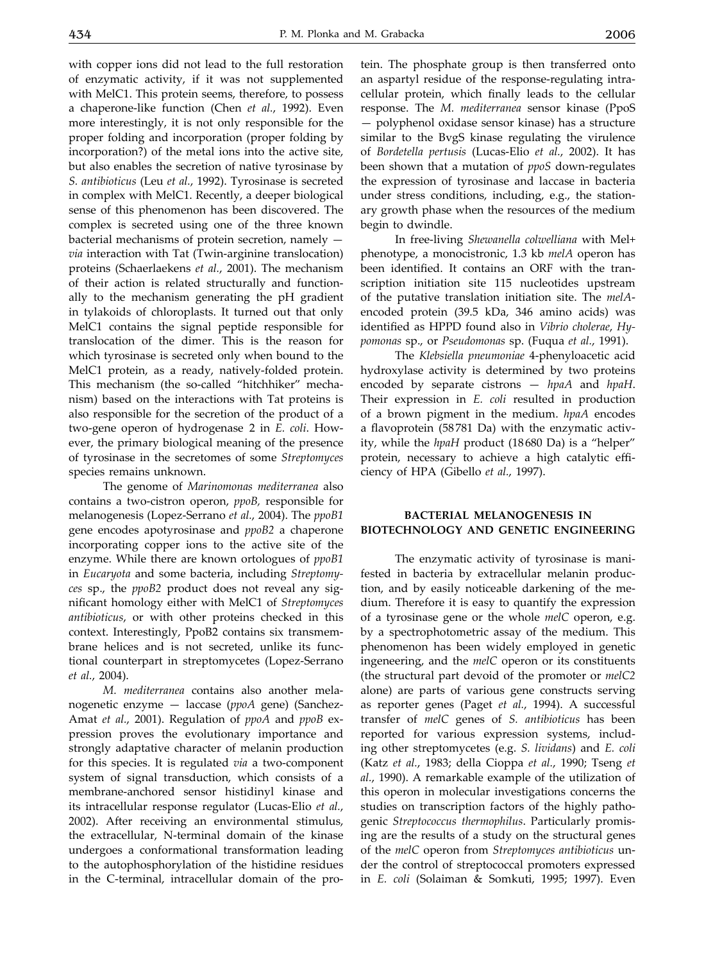with copper ions did not lead to the full restoration of enzymatic activity, if it was not supplemented with MelC1. This protein seems, therefore, to possess a chaperone-like function (Chen *et al.*, 1992). Even more interestingly, it is not only responsible for the proper folding and incorporation (proper folding by incorporation?) of the metal ions into the active site, but also enables the secretion of native tyrosinase by *S. antibioticus* (Leu *et al.*, 1992). Tyrosinase is secreted in complex with MelC1. Recently, a deeper biological sense of this phenomenon has been discovered. The complex is secreted using one of the three known bacterial mechanisms of protein secretion, namely *via* interaction with Tat (Twin-arginine translocation) proteins (Schaerlaekens *et al.*, 2001). The mechanism of their action is related structurally and functionally to the mechanism generating the pH gradient in tylakoids of chloroplasts. It turned out that only MelC1 contains the signal peptide responsible for translocation of the dimer. This is the reason for which tyrosinase is secreted only when bound to the MelC1 protein, as a ready, natively-folded protein. This mechanism (the so-called "hitchhiker" mechanism) based on the interactions with Tat proteins is also responsible for the secretion of the product of a two-gene operon of hydrogenase 2 in *E. coli*. However, the primary biological meaning of the presence of tyrosinase in the secretomes of some *Streptomyces*  species remains unknown.

The genome of *Marinomonas mediterranea* also contains a two-cistron operon, *ppoB,* responsible for melanogenesis (Lopez-Serrano *et al.*, 2004). The *ppoB1* gene encodes apotyrosinase and *ppoB2* a chaperone incorporating copper ions to the active site of the enzyme. While there are known ortologues of *ppoB1* in *Eucaryota* and some bacteria, including *Streptomyces* sp., the *ppoB2* product does not reveal any significant homology either with MelC1 of *Streptomyces antibioticus*, or with other proteins checked in this context. Interestingly, PpoB2 contains six transmembrane helices and is not secreted, unlike its functional counterpart in streptomycetes (Lopez-Serrano *et al.*, 2004).

*M. mediterranea* contains also another melanogenetic enzyme — laccase (*ppoA* gene) (Sanchez-Amat *et al.*, 2001). Regulation of *ppoA* and *ppoB* expression proves the evolutionary importance and strongly adaptative character of melanin production for this species. It is regulated *via* a two-component system of signal transduction, which consists of a membrane-anchored sensor histidinyl kinase and its intracellular response regulator (Lucas-Elio *et al.*, 2002). After receiving an environmental stimulus, the extracellular, N-terminal domain of the kinase undergoes a conformational transformation leading to the autophosphorylation of the histidine residues in the C-terminal, intracellular domain of the pro-

tein. The phosphate group is then transferred onto an aspartyl residue of the response-regulating intracellular protein, which finally leads to the cellular response. The *M. mediterranea* sensor kinase (PpoS — polyphenol oxidase sensor kinase) has a structure similar to the BvgS kinase regulating the virulence of *Bordetella pertusis* (Lucas-Elio *et al.*, 2002). It has been shown that a mutation of *ppoS* down-regulates the expression of tyrosinase and laccase in bacteria under stress conditions, including, e.g., the stationary growth phase when the resources of the medium begin to dwindle.

In free-living *Shewanella colwelliana* with Mel+ phenotype, a monocistronic, 1.3 kb *melA* operon has been identified. It contains an ORF with the transcription initiation site 115 nucleotides upstream of the putative translation initiation site. The *melA*encoded protein (39.5 kDa, 346 amino acids) was identified as HPPD found also in *Vibrio cholerae*, *Hypomonas* sp., or *Pseudomonas* sp. (Fuqua *et al.*, 1991).

The *Klebsiella pneumoniae* 4-phenyloacetic acid hydroxylase activity is determined by two proteins encoded by separate cistrons — *hpaA* and *hpaH*. Their expression in *E. coli* resulted in production of a brown pigment in the medium. *hpaA* encodes a flavoprotein (58781 Da) with the enzymatic activity, while the *hpaH* product (18680 Da) is a "helper" protein, necessary to achieve a high catalytic efficiency of HPA (Gibello *et al.*, 1997).

### **Bacterial melanogenesis in biotechnology and genetic engineering**

The enzymatic activity of tyrosinase is manifested in bacteria by extracellular melanin production, and by easily noticeable darkening of the medium. Therefore it is easy to quantify the expression of a tyrosinase gene or the whole *melC* operon, e.g. by a spectrophotometric assay of the medium. This phenomenon has been widely employed in genetic ingeneering, and the *melC* operon or its constituents (the structural part devoid of the promoter or *melC2* alone) are parts of various gene constructs serving as reporter genes (Paget *et al.*, 1994). A successful transfer of *melC* genes of *S. antibioticus* has been reported for various expression systems, including other streptomycetes (e.g. *S. lividans*) and *E. coli*  (Katz *et al.*, 1983; della Cioppa *et al.*, 1990; Tseng *et al.*, 1990). A remarkable example of the utilization of this operon in molecular investigations concerns the studies on transcription factors of the highly pathogenic *Streptococcus thermophilus*. Particularly promising are the results of a study on the structural genes of the *melC* operon from *Streptomyces antibioticus* under the control of streptococcal promoters expressed in *E. coli* (Solaiman & Somkuti, 1995; 1997). Even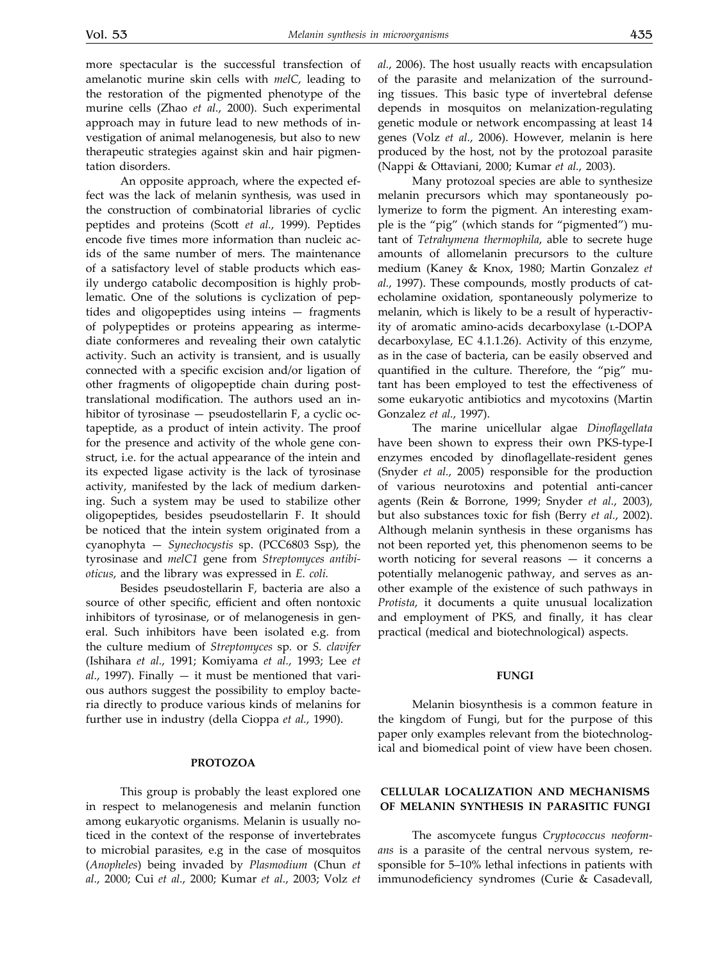more spectacular is the successful transfection of amelanotic murine skin cells with *melC*, leading to the restoration of the pigmented phenotype of the murine cells (Zhao *et al.*, 2000). Such experimental approach may in future lead to new methods of investigation of animal melanogenesis, but also to new therapeutic strategies against skin and hair pigmentation disorders.

An opposite approach, where the expected effect was the lack of melanin synthesis, was used in the construction of combinatorial libraries of cyclic peptides and proteins (Scott *et al.*, 1999). Peptides encode five times more information than nucleic acids of the same number of mers. The maintenance of a satisfactory level of stable products which easily undergo catabolic decomposition is highly problematic. One of the solutions is cyclization of peptides and oligopeptides using inteins — fragments of polypeptides or proteins appearing as intermediate conformeres and revealing their own catalytic activity. Such an activity is transient, and is usually connected with a specific excision and/or ligation of other fragments of oligopeptide chain during posttranslational modification. The authors used an inhibitor of tyrosinase — pseudostellarin F, a cyclic octapeptide, as a product of intein activity. The proof for the presence and activity of the whole gene construct, i.e. for the actual appearance of the intein and its expected ligase activity is the lack of tyrosinase activity, manifested by the lack of medium darkening. Such a system may be used to stabilize other oligopeptides, besides pseudostellarin F. It should be noticed that the intein system originated from a cyanophyta — *Synechocystis* sp. (PCC6803 Ssp), the tyrosinase and *melC1* gene from *Streptomyces antibioticus*, and the library was expressed in *E. coli.*

Besides pseudostellarin F, bacteria are also a source of other specific, efficient and often nontoxic inhibitors of tyrosinase, or of melanogenesis in general. Such inhibitors have been isolated e.g. from the culture medium of *Streptomyces* sp*.* or *S. clavifer*  (Ishihara *et al.*, 1991; Komiyama *et al.*, 1993; Lee *et*   $al.,$  1997). Finally  $-$  it must be mentioned that various authors suggest the possibility to employ bacteria directly to produce various kinds of melanins for further use in industry (della Cioppa *et al.*, 1990).

#### **Protozoa**

This group is probably the least explored one in respect to melanogenesis and melanin function among eukaryotic organisms. Melanin is usually noticed in the context of the response of invertebrates to microbial parasites, e.g in the case of mosquitos (*Anopheles*) being invaded by *Plasmodium* (Chun *et al.*, 2000; Cui *et al.*, 2000; Kumar *et al.*, 2003; Volz *et*  *al.*, 2006). The host usually reacts with encapsulation of the parasite and melanization of the surrounding tissues. This basic type of invertebral defense depends in mosquitos on melanization-regulating genetic module or network encompassing at least 14 genes (Volz *et al.*, 2006). However, melanin is here produced by the host, not by the protozoal parasite (Nappi & Ottaviani, 2000; Kumar *et al.*, 2003).

Many protozoal species are able to synthesize melanin precursors which may spontaneously polymerize to form the pigment. An interesting example is the "pig" (which stands for "pigmented") mutant of *Tetrahymena thermophila*, able to secrete huge amounts of allomelanin precursors to the culture medium (Kaney & Knox, 1980; Martin Gonzalez *et al.*, 1997). These compounds, mostly products of catecholamine oxidation, spontaneously polymerize to melanin, which is likely to be a result of hyperactivity of aromatic amino-acids decarboxylase (L-DOPA decarboxylase, EC 4.1.1.26). Activity of this enzyme, as in the case of bacteria, can be easily observed and quantified in the culture. Therefore, the "pig" mutant has been employed to test the effectiveness of some eukaryotic antibiotics and mycotoxins (Martin Gonzalez *et al.*, 1997).

The marine unicellular algae *Dinoflagellata*  have been shown to express their own PKS-type-I enzymes encoded by dinoflagellate-resident genes (Snyder *et al.*, 2005) responsible for the production of various neurotoxins and potential anti-cancer agents (Rein & Borrone, 1999; Snyder *et al.*, 2003), but also substances toxic for fish (Berry *et al.*, 2002). Although melanin synthesis in these organisms has not been reported yet, this phenomenon seems to be worth noticing for several reasons — it concerns a potentially melanogenic pathway, and serves as another example of the existence of such pathways in *Protista*, it documents a quite unusual localization and employment of PKS, and finally, it has clear practical (medical and biotechnological) aspects.

#### **Fungi**

Melanin biosynthesis is a common feature in the kingdom of Fungi, but for the purpose of this paper only examples relevant from the biotechnological and biomedical point of view have been chosen.

### **Cellular localization and mechanisms of melanin synthesis in parasitic fungi**

The ascomycete fungus *Cryptococcus neoformans* is a parasite of the central nervous system, responsible for 5–10% lethal infections in patients with immunodeficiency syndromes (Curie & Casadevall,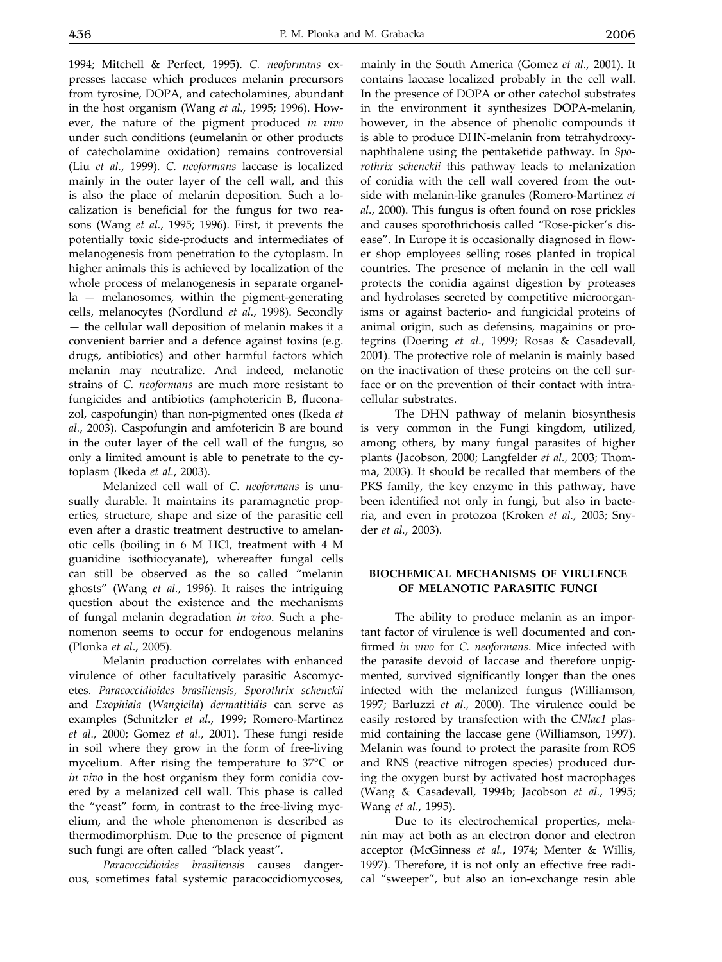1994; Mitchell & Perfect, 1995). *C. neoformans* expresses laccase which produces melanin precursors from tyrosine, DOPA, and catecholamines, abundant in the host organism (Wang *et al.*, 1995; 1996). However, the nature of the pigment produced *in vivo* under such conditions (eumelanin or other products of catecholamine oxidation) remains controversial (Liu *et al.*, 1999). *C. neoformans* laccase is localized mainly in the outer layer of the cell wall, and this is also the place of melanin deposition. Such a localization is beneficial for the fungus for two reasons (Wang *et al.*, 1995; 1996). First, it prevents the potentially toxic side-products and intermediates of melanogenesis from penetration to the cytoplasm. In higher animals this is achieved by localization of the whole process of melanogenesis in separate organella — melanosomes, within the pigment-generating cells, melanocytes (Nordlund *et al.*, 1998). Secondly — the cellular wall deposition of melanin makes it a convenient barrier and a defence against toxins (e.g. drugs, antibiotics) and other harmful factors which melanin may neutralize. And indeed, melanotic strains of *C. neoformans* are much more resistant to fungicides and antibiotics (amphotericin B, fluconazol, caspofungin) than non-pigmented ones (Ikeda *et al.*, 2003). Caspofungin and amfotericin B are bound in the outer layer of the cell wall of the fungus, so only a limited amount is able to penetrate to the cytoplasm (Ikeda *et al.*, 2003).

Melanized cell wall of *C. neoformans* is unusually durable. It maintains its paramagnetic properties, structure, shape and size of the parasitic cell even after a drastic treatment destructive to amelanotic cells (boiling in 6 M HCl, treatment with 4 M guanidine isothiocyanate), whereafter fungal cells can still be observed as the so called "melanin ghosts" (Wang *et al.*, 1996). It raises the intriguing question about the existence and the mechanisms of fungal melanin degradation *in vivo*. Such a phenomenon seems to occur for endogenous melanins (Plonka *et al*., 2005).

Melanin production correlates with enhanced virulence of other facultatively parasitic Ascomycetes. *Paracoccidioides brasiliensis*, *Sporothrix schenckii* and *Exophiala* (*Wangiella*) *dermatitidis* can serve as examples (Schnitzler *et al.*, 1999; Romero-Martinez *et al.*, 2000; Gomez *et al.*, 2001). These fungi reside in soil where they grow in the form of free-living mycelium. After rising the temperature to 37°C or *in vivo* in the host organism they form conidia covered by a melanized cell wall. This phase is called the "yeast" form, in contrast to the free-living mycelium, and the whole phenomenon is described as thermodimorphism. Due to the presence of pigment such fungi are often called "black yeast".

*Paracoccidioides brasiliensis* causes dangerous, sometimes fatal systemic paracoccidiomycoses,

mainly in the South America (Gomez *et al.*, 2001). It contains laccase localized probably in the cell wall. In the presence of DOPA or other catechol substrates in the environment it synthesizes DOPA-melanin, however, in the absence of phenolic compounds it is able to produce DHN-melanin from tetrahydroxynaphthalene using the pentaketide pathway. In *Sporothrix schenckii* this pathway leads to melanization of conidia with the cell wall covered from the outside with melanin-like granules (Romero-Martinez *et al.*, 2000). This fungus is often found on rose prickles and causes sporothrichosis called "Rose-picker's disease". In Europe it is occasionally diagnosed in flower shop employees selling roses planted in tropical countries. The presence of melanin in the cell wall protects the conidia against digestion by proteases and hydrolases secreted by competitive microorganisms or against bacterio- and fungicidal proteins of animal origin, such as defensins, magainins or protegrins (Doering *et al.*, 1999; Rosas & Casadevall, 2001). The protective role of melanin is mainly based on the inactivation of these proteins on the cell surface or on the prevention of their contact with intracellular substrates.

The DHN pathway of melanin biosynthesis is very common in the Fungi kingdom, utilized, among others, by many fungal parasites of higher plants (Jacobson, 2000; Langfelder *et al.*, 2003; Thomma, 2003). It should be recalled that members of the PKS family, the key enzyme in this pathway, have been identified not only in fungi, but also in bacteria, and even in protozoa (Kroken *et al.*, 2003; Snyder *et al.*, 2003).

### **Biochemical mechanisms of virulence of melanotic parasitic fungi**

The ability to produce melanin as an important factor of virulence is well documented and confirmed *in vivo* for *C. neoformans*. Mice infected with the parasite devoid of laccase and therefore unpigmented, survived significantly longer than the ones infected with the melanized fungus (Williamson, 1997; Barluzzi *et al.*, 2000). The virulence could be easily restored by transfection with the *CNlac1* plasmid containing the laccase gene (Williamson, 1997). Melanin was found to protect the parasite from ROS and RNS (reactive nitrogen species) produced during the oxygen burst by activated host macrophages (Wang & Casadevall, 1994b; Jacobson *et al.*, 1995; Wang *et al.*, 1995).

Due to its electrochemical properties, melanin may act both as an electron donor and electron acceptor (McGinness *et al.*, 1974; Menter & Willis, 1997). Therefore, it is not only an effective free radical "sweeper", but also an ion-exchange resin able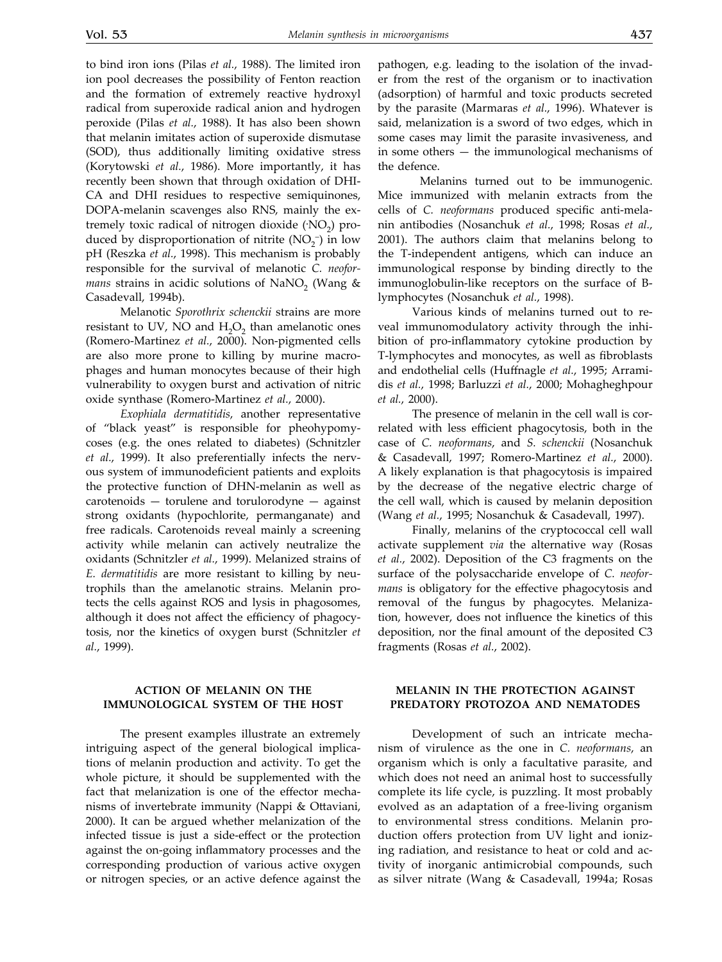to bind iron ions (Pilas *et al.*, 1988). The limited iron ion pool decreases the possibility of Fenton reaction and the formation of extremely reactive hydroxyl radical from superoxide radical anion and hydrogen peroxide (Pilas *et al.*, 1988). It has also been shown that melanin imitates action of superoxide dismutase (SOD), thus additionally limiting oxidative stress (Korytowski *et al.*, 1986). More importantly, it has recently been shown that through oxidation of DHI-CA and DHI residues to respective semiquinones, DOPA-melanin scavenges also RNS, mainly the extremely toxic radical of nitrogen dioxide (*NO*<sub>2</sub>) produced by disproportionation of nitrite  $(NO<sub>2</sub><sup>-</sup>)$  in low pH (Reszka *et al.*, 1998). This mechanism is probably responsible for the survival of melanotic *C. neoformans* strains in acidic solutions of NaNO<sub>2</sub> (Wang  $\&$ Casadevall, 1994b).

Melanotic *Sporothrix schenckii* strains are more resistant to UV, NO and  $H_2O_2$  than amelanotic ones (Romero-Martinez *et al.*, 2000). Non-pigmented cells are also more prone to killing by murine macrophages and human monocytes because of their high vulnerability to oxygen burst and activation of nitric oxide synthase (Romero-Martinez *et al.*, 2000).

*Exophiala dermatitidis*, another representative of "black yeast" is responsible for pheohypomycoses (e.g. the ones related to diabetes) (Schnitzler *et al.*, 1999). It also preferentially infects the nervous system of immunodeficient patients and exploits the protective function of DHN-melanin as well as carotenoids — torulene and torulorodyne — against strong oxidants (hypochlorite, permanganate) and free radicals. Carotenoids reveal mainly a screening activity while melanin can actively neutralize the oxidants (Schnitzler *et al.*, 1999). Melanized strains of *E. dermatitidis* are more resistant to killing by neutrophils than the amelanotic strains. Melanin protects the cells against ROS and lysis in phagosomes, although it does not affect the efficiency of phagocytosis, nor the kinetics of oxygen burst (Schnitzler *et al.*, 1999).

### **Action of melanin on the immunological system of the host**

The present examples illustrate an extremely intriguing aspect of the general biological implications of melanin production and activity. To get the whole picture, it should be supplemented with the fact that melanization is one of the effector mechanisms of invertebrate immunity (Nappi & Ottaviani, 2000). It can be argued whether melanization of the infected tissue is just a side-effect or the protection against the on-going inflammatory processes and the corresponding production of various active oxygen or nitrogen species, or an active defence against the pathogen, e.g. leading to the isolation of the invader from the rest of the organism or to inactivation (adsorption) of harmful and toxic products secreted by the parasite (Marmaras *et al.*, 1996). Whatever is said, melanization is a sword of two edges, which in some cases may limit the parasite invasiveness, and in some others — the immunological mechanisms of the defence.

 Melanins turned out to be immunogenic. Mice immunized with melanin extracts from the cells of *C. neoformans* produced specific anti-melanin antibodies (Nosanchuk *et al.*, 1998; Rosas *et al.*, 2001). The authors claim that melanins belong to the T-independent antigens, which can induce an immunological response by binding directly to the immunoglobulin-like receptors on the surface of Blymphocytes (Nosanchuk *et al.*, 1998).

Various kinds of melanins turned out to reveal immunomodulatory activity through the inhibition of pro-inflammatory cytokine production by T-lymphocytes and monocytes, as well as fibroblasts and endothelial cells (Huffnagle *et al.*, 1995; Arramidis *et al.*, 1998; Barluzzi *et al.*, 2000; Mohagheghpour *et al.*, 2000).

The presence of melanin in the cell wall is correlated with less efficient phagocytosis, both in the case of *C. neoformans*, and *S. schenckii* (Nosanchuk & Casadevall, 1997; Romero-Martinez *et al.*, 2000). A likely explanation is that phagocytosis is impaired by the decrease of the negative electric charge of the cell wall, which is caused by melanin deposition (Wang *et al.*, 1995; Nosanchuk & Casadevall, 1997).

Finally, melanins of the cryptococcal cell wall activate supplement *via* the alternative way (Rosas *et al.*, 2002). Deposition of the C3 fragments on the surface of the polysaccharide envelope of *C. neoformans* is obligatory for the effective phagocytosis and removal of the fungus by phagocytes. Melanization, however, does not influence the kinetics of this deposition, nor the final amount of the deposited C3 fragments (Rosas *et al.*, 2002).

### **Melanin in the protection against predatory protozoa and nematodes**

Development of such an intricate mechanism of virulence as the one in *C. neoformans*, an organism which is only a facultative parasite, and which does not need an animal host to successfully complete its life cycle, is puzzling. It most probably evolved as an adaptation of a free-living organism to environmental stress conditions. Melanin production offers protection from UV light and ionizing radiation, and resistance to heat or cold and activity of inorganic antimicrobial compounds, such as silver nitrate (Wang & Casadevall, 1994a; Rosas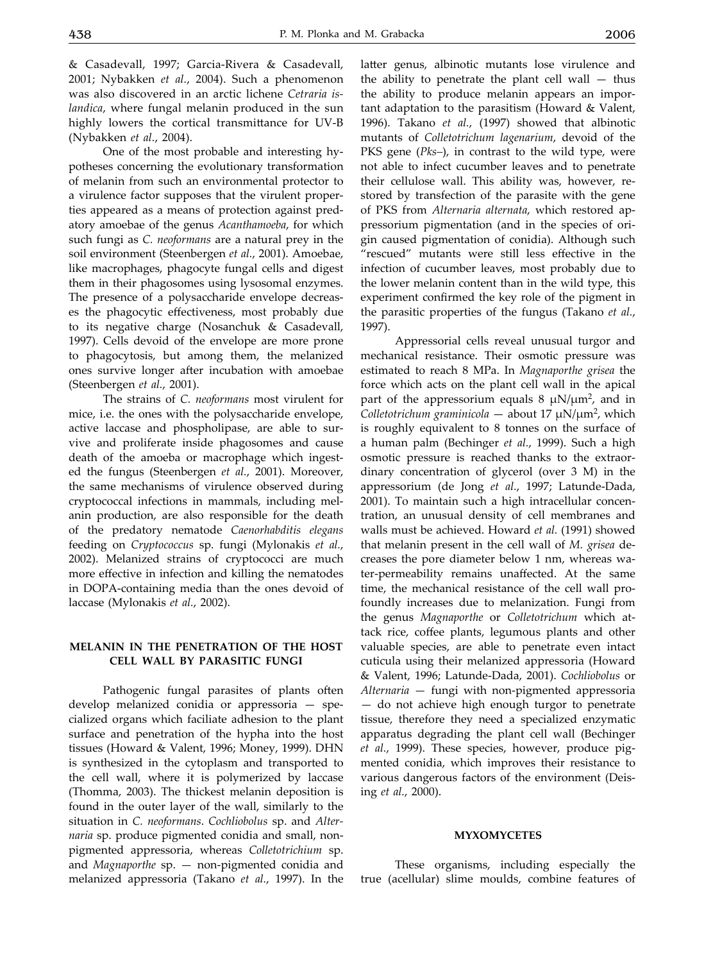& Casadevall, 1997; Garcia-Rivera & Casadevall, 2001; Nybakken *et al.*, 2004). Such a phenomenon was also discovered in an arctic lichene *Cetraria islandica*, where fungal melanin produced in the sun highly lowers the cortical transmittance for UV-B (Nybakken *et al.*, 2004).

One of the most probable and interesting hypotheses concerning the evolutionary transformation of melanin from such an environmental protector to a virulence factor supposes that the virulent properties appeared as a means of protection against predatory amoebae of the genus *Acanthamoeba*, for which such fungi as *C. neoformans* are a natural prey in the soil environment (Steenbergen *et al.*, 2001). Amoebae, like macrophages, phagocyte fungal cells and digest them in their phagosomes using lysosomal enzymes. The presence of a polysaccharide envelope decreases the phagocytic effectiveness, most probably due to its negative charge (Nosanchuk & Casadevall, 1997). Cells devoid of the envelope are more prone to phagocytosis, but among them, the melanized ones survive longer after incubation with amoebae (Steenbergen *et al.*, 2001).

The strains of *C. neoformans* most virulent for mice, i.e. the ones with the polysaccharide envelope, active laccase and phospholipase, are able to survive and proliferate inside phagosomes and cause death of the amoeba or macrophage which ingested the fungus (Steenbergen *et al.*, 2001). Moreover, the same mechanisms of virulence observed during cryptococcal infections in mammals, including melanin production, are also responsible for the death of the predatory nematode *Caenorhabditis elegans* feeding on *Cryptococcus* sp. fungi (Mylonakis *et al.*, 2002). Melanized strains of cryptococci are much more effective in infection and killing the nematodes in DOPA-containing media than the ones devoid of laccase (Mylonakis *et al.*, 2002).

### **Melanin in the penetration of the host cell wall by parasitic fungi**

Pathogenic fungal parasites of plants often develop melanized conidia or appressoria — specialized organs which faciliate adhesion to the plant surface and penetration of the hypha into the host tissues (Howard & Valent, 1996; Money, 1999). DHN is synthesized in the cytoplasm and transported to the cell wall, where it is polymerized by laccase (Thomma, 2003). The thickest melanin deposition is found in the outer layer of the wall, similarly to the situation in *C. neoformans*. *Cochliobolus* sp. and *Alternaria* sp. produce pigmented conidia and small, nonpigmented appressoria, whereas *Colletotrichium* sp. and *Magnaporthe* sp. — non-pigmented conidia and melanized appressoria (Takano *et al.*, 1997). In the latter genus, albinotic mutants lose virulence and the ability to penetrate the plant cell wall  $-$  thus the ability to produce melanin appears an important adaptation to the parasitism (Howard & Valent, 1996). Takano *et al.*, (1997) showed that albinotic mutants of *Colletotrichum lagenarium*, devoid of the PKS gene (*Pks–*), in contrast to the wild type, were not able to infect cucumber leaves and to penetrate their cellulose wall. This ability was, however, restored by transfection of the parasite with the gene of PKS from *Alternaria alternata*, which restored appressorium pigmentation (and in the species of origin caused pigmentation of conidia). Although such "rescued" mutants were still less effective in the infection of cucumber leaves, most probably due to the lower melanin content than in the wild type, this experiment confirmed the key role of the pigment in the parasitic properties of the fungus (Takano *et al.*, 1997).

Appressorial cells reveal unusual turgor and mechanical resistance. Their osmotic pressure was estimated to reach 8 MPa. In *Magnaporthe grisea* the force which acts on the plant cell wall in the apical part of the appressorium equals  $8 \mu N/\mu m^2$ , and in *Colletotrichum graminicola* — about 17 µN/µm2, which is roughly equivalent to 8 tonnes on the surface of a human palm (Bechinger *et al.*, 1999). Such a high osmotic pressure is reached thanks to the extraordinary concentration of glycerol (over 3 M) in the appressorium (de Jong *et al.*, 1997; Latunde-Dada, 2001). To maintain such a high intracellular concentration, an unusual density of cell membranes and walls must be achieved. Howard *et al.* (1991) showed that melanin present in the cell wall of *M. grisea* decreases the pore diameter below 1 nm, whereas water-permeability remains unaffected. At the same time, the mechanical resistance of the cell wall profoundly increases due to melanization. Fungi from the genus *Magnaporthe* or *Colletotrichum* which attack rice, coffee plants, legumous plants and other valuable species, are able to penetrate even intact cuticula using their melanized appressoria (Howard & Valent, 1996; Latunde-Dada, 2001). *Cochliobolus* or *Alternaria* — fungi with non-pigmented appressoria — do not achieve high enough turgor to penetrate tissue, therefore they need a specialized enzymatic apparatus degrading the plant cell wall (Bechinger *et al.*, 1999). These species, however, produce pigmented conidia, which improves their resistance to various dangerous factors of the environment (Deising *et al.*, 2000).

#### **Myxomycetes**

These organisms, including especially the true (acellular) slime moulds, combine features of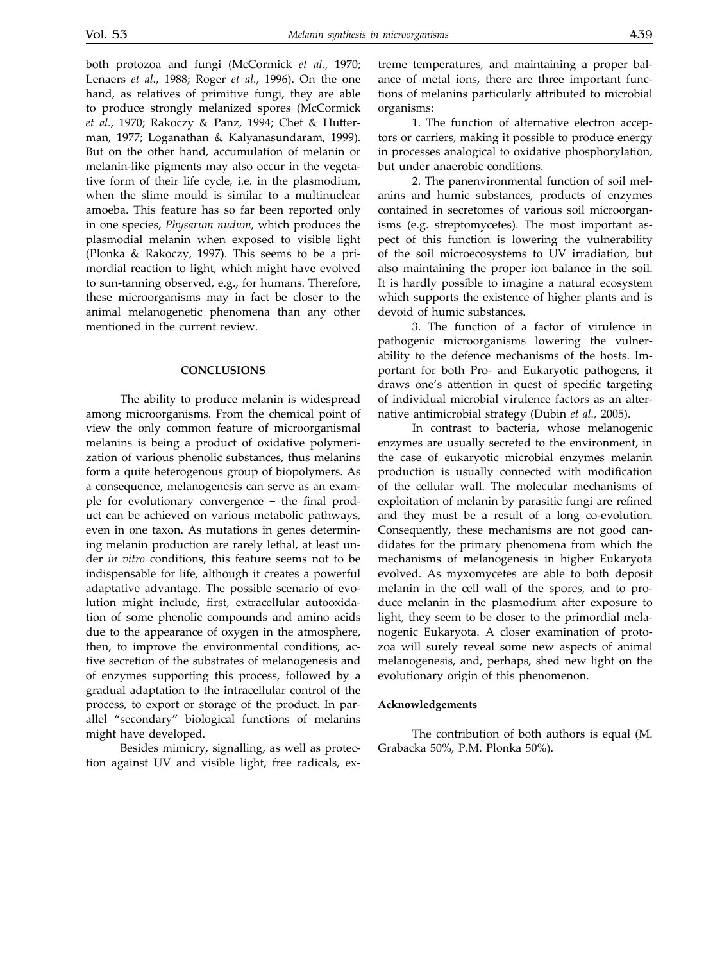both protozoa and fungi (McCormick *et al.*, 1970; Lenaers *et al.*, 1988; Roger *et al.*, 1996). On the one hand, as relatives of primitive fungi, they are able to produce strongly melanized spores (McCormick *et al.*, 1970; Rakoczy & Panz, 1994; Chet & Hutterman, 1977; Loganathan & Kalyanasundaram, 1999). But on the other hand, accumulation of melanin or melanin-like pigments may also occur in the vegetative form of their life cycle, i.e. in the plasmodium, when the slime mould is similar to a multinuclear amoeba. This feature has so far been reported only in one species, *Physarum nudum*, which produces the plasmodial melanin when exposed to visible light (Plonka & Rakoczy, 1997). This seems to be a primordial reaction to light, which might have evolved to sun-tanning observed, e.g., for humans. Therefore, these microorganisms may in fact be closer to the animal melanogenetic phenomena than any other mentioned in the current review.

#### **Conclusions**

The ability to produce melanin is widespread among microorganisms. From the chemical point of view the only common feature of microorganismal melanins is being a product of oxidative polymerization of various phenolic substances, thus melanins form a quite heterogenous group of biopolymers. As a consequence, melanogenesis can serve as an example for evolutionary convergence − the final product can be achieved on various metabolic pathways, even in one taxon. As mutations in genes determining melanin production are rarely lethal, at least under *in vitro* conditions, this feature seems not to be indispensable for life, although it creates a powerful adaptative advantage. The possible scenario of evolution might include, first, extracellular autooxidation of some phenolic compounds and amino acids due to the appearance of oxygen in the atmosphere, then, to improve the environmental conditions, active secretion of the substrates of melanogenesis and of enzymes supporting this process, followed by a gradual adaptation to the intracellular control of the process, to export or storage of the product. In parallel "secondary" biological functions of melanins might have developed.

Besides mimicry, signalling, as well as protection against UV and visible light, free radicals, extreme temperatures, and maintaining a proper balance of metal ions, there are three important functions of melanins particularly attributed to microbial organisms:

1. The function of alternative electron acceptors or carriers, making it possible to produce energy in processes analogical to oxidative phosphorylation, but under anaerobic conditions.

2. The panenvironmental function of soil melanins and humic substances, products of enzymes contained in secretomes of various soil microorganisms (e.g. streptomycetes). The most important aspect of this function is lowering the vulnerability of the soil microecosystems to UV irradiation, but also maintaining the proper ion balance in the soil. It is hardly possible to imagine a natural ecosystem which supports the existence of higher plants and is devoid of humic substances.

3. The function of a factor of virulence in pathogenic microorganisms lowering the vulnerability to the defence mechanisms of the hosts. Important for both Pro- and Eukaryotic pathogens, it draws one's attention in quest of specific targeting of individual microbial virulence factors as an alternative antimicrobial strategy (Dubin *et al.,* 2005).

In contrast to bacteria, whose melanogenic enzymes are usually secreted to the environment, in the case of eukaryotic microbial enzymes melanin production is usually connected with modification of the cellular wall. The molecular mechanisms of exploitation of melanin by parasitic fungi are refined and they must be a result of a long co-evolution. Consequently, these mechanisms are not good candidates for the primary phenomena from which the mechanisms of melanogenesis in higher Eukaryota evolved. As myxomycetes are able to both deposit melanin in the cell wall of the spores, and to produce melanin in the plasmodium after exposure to light, they seem to be closer to the primordial melanogenic Eukaryota. A closer examination of protozoa will surely reveal some new aspects of animal melanogenesis, and, perhaps, shed new light on the evolutionary origin of this phenomenon.

#### **Acknowledgements**

The contribution of both authors is equal (M. Grabacka 50%, P.M. Plonka 50%).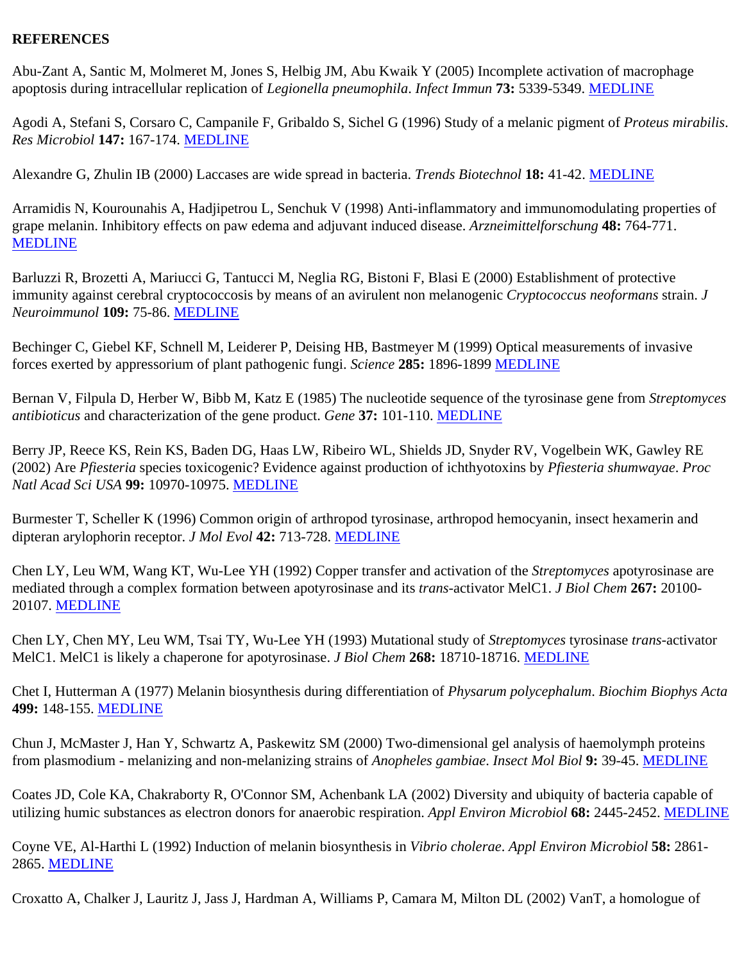## **REFERENCES**

Abu-Zant A, Santic M, Molmeret M, Jones S, Helbig JM, Abu Kwaik Y (2005) Incomplete activation of macrophage apoptosis during intracellular replication of *Legionella pneumophila*. *Infect Immun* **73:** 5339-5349. [MEDLINE](http://www.ncbi.nlm.nih.gov/entrez/query.fcgi?filters=&orig_db=PubMed&cmd=Search&term=Infect+Immun[jour]+AND+73[volume]+AND+5339[page])

Agodi A, Stefani S, Corsaro C, Campanile F, Gribaldo S, Sichel G (1996) Study of a melanic pigment of *Proteus mirabilis*. *Res Microbiol* **147:** 167-174. [MEDLINE](http://www.ncbi.nlm.nih.gov/entrez/query.fcgi?filters=&orig_db=PubMed&cmd=Search&term=Res+Microbiol[jour]+AND+147[volume]+AND+167[page])

Alexandre G, Zhulin IB (2000) Laccases are wide spread in bacteria. *Trends Biotechnol* **18:** 41-42. [MEDLINE](http://www.ncbi.nlm.nih.gov/entrez/query.fcgi?filters=&orig_db=PubMed&cmd=Search&term=Trends+Biotechnol[jour]+AND+18[volume]+AND+41[page])

Arramidis N, Kourounahis A, Hadjipetrou L, Senchuk V (1998) Anti-inflammatory and immunomodulating properties of grape melanin. Inhibitory effects on paw edema and adjuvant induced disease. *Arzneimittelforschung* **48:** 764-771. [MEDLINE](http://www.ncbi.nlm.nih.gov/entrez/query.fcgi?filters=&orig_db=PubMed&cmd=Search&term=Arzneimittelforschung[jour]+AND+48[volume]+AND+764[page])

Barluzzi R, Brozetti A, Mariucci G, Tantucci M, Neglia RG, Bistoni F, Blasi E (2000) Establishment of protective immunity against cerebral cryptococcosis by means of an avirulent non melanogenic *Cryptococcus neoformans* strain. *J Neuroimmunol* **109:** 75-86. [MEDLINE](http://www.ncbi.nlm.nih.gov/entrez/query.fcgi?filters=&orig_db=PubMed&cmd=Search&term=J+Neuroimmunol[jour]+AND+109[volume]+AND+75[page])

Bechinger C, Giebel KF, Schnell M, Leiderer P, Deising HB, Bastmeyer M (1999) Optical measurements of invasive forces exerted by appressorium of plant pathogenic fungi. *Science* **285:** 1896-1899 [MEDLINE](http://www.ncbi.nlm.nih.gov/entrez/query.fcgi?filters=&orig_db=PubMed&cmd=Search&term=Science[jour]+AND+285[volume]+AND+1896[page])

Bernan V, Filpula D, Herber W, Bibb M, Katz E (1985) The nucleotide sequence of the tyrosinase gene from *Streptomyces antibioticus* and characterization of the gene product. *Gene* **37:** 101-110. [MEDLINE](http://www.ncbi.nlm.nih.gov/entrez/query.fcgi?filters=&orig_db=PubMed&cmd=Search&term=Gene[jour]+AND+37[volume]+AND+101[page])

Berry JP, Reece KS, Rein KS, Baden DG, Haas LW, Ribeiro WL, Shields JD, Snyder RV, Vogelbein WK, Gawley RE (2002) Are *Pfiesteria* species toxicogenic? Evidence against production of ichthyotoxins by *Pfiesteria shumwayae*. *Proc Natl Acad Sci USA* **99:** 10970-10975. [MEDLINE](http://www.ncbi.nlm.nih.gov/entrez/query.fcgi?filters=&orig_db=PubMed&cmd=Search&term=Proc+Natl+Acad+Sci+USA[jour]+AND+99[volume]+AND+10970[page])

Burmester T, Scheller K (1996) Common origin of arthropod tyrosinase, arthropod hemocyanin, insect hexamerin and dipteran arylophorin receptor. *J Mol Evol* **42:** 713-728. [MEDLINE](http://www.ncbi.nlm.nih.gov/entrez/query.fcgi?filters=&orig_db=PubMed&cmd=Search&term=J+Mol+Evol[jour]+AND+42[volume]+AND+713[page])

Chen LY, Leu WM, Wang KT, Wu-Lee YH (1992) Copper transfer and activation of the *Streptomyces* apotyrosinase are mediated through a complex formation between apotyrosinase and its *trans*-activator MelC1. *J Biol Chem* **267:** 20100- 20107. [MEDLINE](http://www.ncbi.nlm.nih.gov/entrez/query.fcgi?filters=&orig_db=PubMed&cmd=Search&term=J+Biol+Chem[jour]+AND+267[volume]+AND+20100[page])

Chen LY, Chen MY, Leu WM, Tsai TY, Wu-Lee YH (1993) Mutational study of *Streptomyces* tyrosinase *trans*-activator MelC1. MelC1 is likely a chaperone for apotyrosinase. *J Biol Chem* **268:** 18710-18716. [MEDLINE](http://www.ncbi.nlm.nih.gov/entrez/query.fcgi?filters=&orig_db=PubMed&cmd=Search&term=J+Biol+Chem[jour]+AND+268[volume]+AND+18710[page])

Chet I, Hutterman A (1977) Melanin biosynthesis during differentiation of *Physarum polycephalum*. *Biochim Biophys Acta* **499:** 148-155. [MEDLINE](http://www.ncbi.nlm.nih.gov/entrez/query.fcgi?filters=&orig_db=PubMed&cmd=Search&term=Biochim+Biophys+Acta[jour]+AND+499[volume]+AND+148[page])

Chun J, McMaster J, Han Y, Schwartz A, Paskewitz SM (2000) Two-dimensional gel analysis of haemolymph proteins from plasmodium - melanizing and non-melanizing strains of *Anopheles gambiae*. *Insect Mol Biol* **9:** 39-45. [MEDLINE](http://www.ncbi.nlm.nih.gov/entrez/query.fcgi?filters=&orig_db=PubMed&cmd=Search&term=Insect+Mol+Biol[jour]+AND+9[volume]+AND+39[page])

Coates JD, Cole KA, Chakraborty R, O'Connor SM, Achenbank LA (2002) Diversity and ubiquity of bacteria capable of utilizing humic substances as electron donors for anaerobic respiration. *Appl Environ Microbiol* **68:** 2445-2452. [MEDLINE](http://www.ncbi.nlm.nih.gov/entrez/query.fcgi?filters=&orig_db=PubMed&cmd=Search&term=Appl+Environ+Microbiol[jour]+AND+68[volume]+AND+2445[page])

Coyne VE, Al-Harthi L (1992) Induction of melanin biosynthesis in *Vibrio cholerae*. *Appl Environ Microbiol* **58:** 2861- 2865. [MEDLINE](http://www.ncbi.nlm.nih.gov/entrez/query.fcgi?filters=&orig_db=PubMed&cmd=Search&term=Appl+Environ+Microbiol[jour]+AND+58[volume]+AND+2861[page])

Croxatto A, Chalker J, Lauritz J, Jass J, Hardman A, Williams P, Camara M, Milton DL (2002) VanT, a homologue of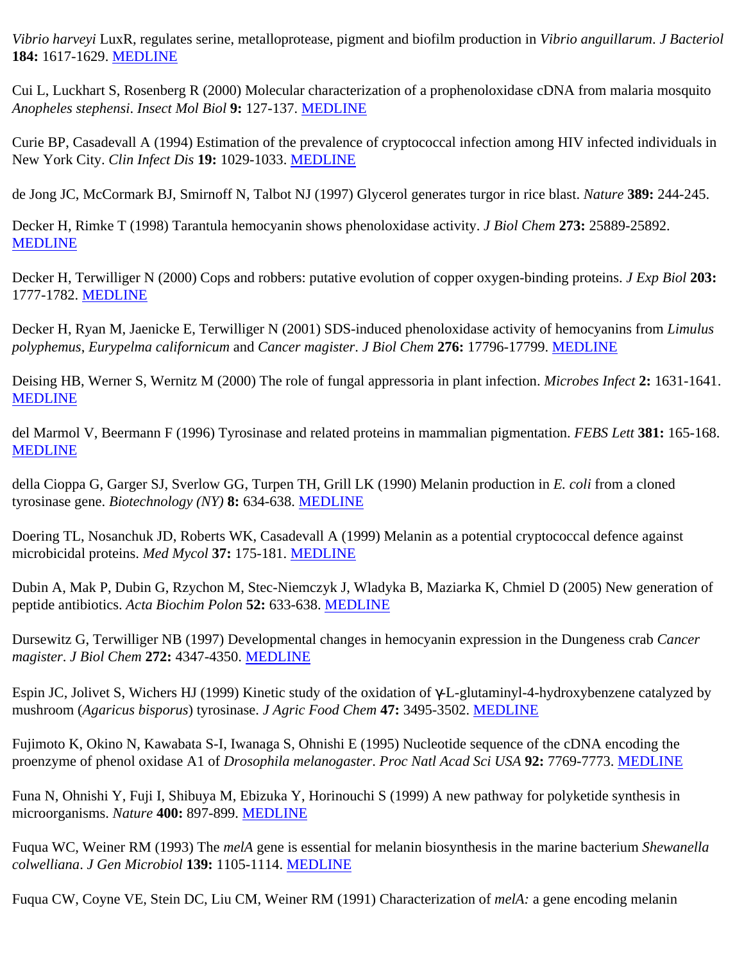*Vibrio harveyi* LuxR, regulates serine, metalloprotease, pigment and biofilm production in *Vibrio anguillarum*. *J Bacteriol* **184:** 1617-1629. [MEDLINE](http://www.ncbi.nlm.nih.gov/entrez/query.fcgi?filters=&orig_db=PubMed&cmd=Search&term=J+Bacteriol[jour]+AND+184[volume]+AND+1617[page])

Cui L, Luckhart S, Rosenberg R (2000) Molecular characterization of a prophenoloxidase cDNA from malaria mosquito *Anopheles stephensi*. *Insect Mol Biol* **9:** 127-137. [MEDLINE](http://www.ncbi.nlm.nih.gov/entrez/query.fcgi?filters=&orig_db=PubMed&cmd=Search&term=Insect+Mol+Biol[jour]+AND+9[volume]+AND+127[page])

Curie BP, Casadevall A (1994) Estimation of the prevalence of cryptococcal infection among HIV infected individuals in New York City. *Clin Infect Dis* **19:** 1029-1033. [MEDLINE](http://www.ncbi.nlm.nih.gov/entrez/query.fcgi?filters=&orig_db=PubMed&cmd=Search&term=Clin+Infect+Dis[jour]+AND+19[volume]+AND+1029[page])

de Jong JC, McCormark BJ, Smirnoff N, Talbot NJ (1997) Glycerol generates turgor in rice blast. *Nature* **389:** 244-245.

Decker H, Rimke T (1998) Tarantula hemocyanin shows phenoloxidase activity. *J Biol Chem* **273:** 25889-25892. [MEDLINE](http://www.ncbi.nlm.nih.gov/entrez/query.fcgi?filters=&orig_db=PubMed&cmd=Search&term=J+Biol+Chem[jour]+AND+273[volume]+AND+25889[page])

Decker H, Terwilliger N (2000) Cops and robbers: putative evolution of copper oxygen-binding proteins. *J Exp Biol* **203:** 1777-1782. [MEDLINE](http://www.ncbi.nlm.nih.gov/entrez/query.fcgi?filters=&orig_db=PubMed&cmd=Search&term=J+Exp+Biol[jour]+AND+203[volume]+AND+1777[page])

Decker H, Ryan M, Jaenicke E, Terwilliger N (2001) SDS-induced phenoloxidase activity of hemocyanins from *Limulus polyphemus*, *Eurypelma californicum* and *Cancer magister*. *J Biol Chem* **276:** 17796-17799. [MEDLINE](http://www.ncbi.nlm.nih.gov/entrez/query.fcgi?filters=&orig_db=PubMed&cmd=Search&term=J+Biol+Chem[jour]+AND+276[volume]+AND+17796[page])

Deising HB, Werner S, Wernitz M (2000) The role of fungal appressoria in plant infection. *Microbes Infect* **2:** 1631-1641. [MEDLINE](http://www.ncbi.nlm.nih.gov/entrez/query.fcgi?filters=&orig_db=PubMed&cmd=Search&term=Microbes+Infect[jour]+AND+2[volume]+AND+1631[page])

del Marmol V, Beermann F (1996) Tyrosinase and related proteins in mammalian pigmentation. *FEBS Lett* **381:** 165-168. [MEDLINE](http://www.ncbi.nlm.nih.gov/entrez/query.fcgi?filters=&orig_db=PubMed&cmd=Search&term=FEBS+Lett[jour]+AND+381[volume]+AND+165[page])

della Cioppa G, Garger SJ, Sverlow GG, Turpen TH, Grill LK (1990) Melanin production in *E. coli* from a cloned tyrosinase gene. *Biotechnology (NY)* **8:** 634-638. [MEDLINE](http://www.ncbi.nlm.nih.gov/entrez/query.fcgi?filters=&orig_db=PubMed&cmd=Search&term=Biotechnology+N+Y[jour]+AND+8[volume]+AND+634[page])

Doering TL, Nosanchuk JD, Roberts WK, Casadevall A (1999) Melanin as a potential cryptococcal defence against microbicidal proteins. *Med Mycol* **37:** 175-181. [MEDLINE](http://www.ncbi.nlm.nih.gov/entrez/query.fcgi?filters=&orig_db=PubMed&cmd=Search&term=Med+Mycol[jour]+AND+37[volume]+AND+175[page])

Dubin A, Mak P, Dubin G, Rzychon M, Stec-Niemczyk J, Wladyka B, Maziarka K, Chmiel D (2005) New generation of peptide antibiotics. *Acta Biochim Polon* **52:** 633-638. [MEDLINE](http://www.ncbi.nlm.nih.gov/entrez/query.fcgi?filters=&orig_db=PubMed&cmd=Search&term=Acta+Biochim+Polon[jour]+AND+52[volume]+AND+633[page])

Dursewitz G, Terwilliger NB (1997) Developmental changes in hemocyanin expression in the Dungeness crab *Cancer magister*. *J Biol Chem* **272:** 4347-4350. [MEDLINE](http://www.ncbi.nlm.nih.gov/entrez/query.fcgi?filters=&orig_db=PubMed&cmd=Search&term=J+Biol+Chem[jour]+AND+272[volume]+AND+4347[page])

Espin JC, Jolivet S, Wichers HJ (1999) Kinetic study of the oxidation of γ-L-glutaminyl-4-hydroxybenzene catalyzed by mushroom (*Agaricus bisporus*) tyrosinase. *J Agric Food Chem* **47:** 3495-3502. [MEDLINE](http://www.ncbi.nlm.nih.gov/entrez/query.fcgi?filters=&orig_db=PubMed&cmd=Search&term=J+Agric+Food+Chem[jour]+AND+47[volume]+AND+3495[page])

Fujimoto K, Okino N, Kawabata S-I, Iwanaga S, Ohnishi E (1995) Nucleotide sequence of the cDNA encoding the proenzyme of phenol oxidase A1 of *Drosophila melanogaster*. *Proc Natl Acad Sci USA* **92:** 7769-7773. [MEDLINE](http://www.ncbi.nlm.nih.gov/entrez/query.fcgi?filters=&orig_db=PubMed&cmd=Search&term=Proc+Natl+Acad+Sci+USA[jour]+AND+92[volume]+AND+7769[page])

Funa N, Ohnishi Y, Fuji I, Shibuya M, Ebizuka Y, Horinouchi S (1999) A new pathway for polyketide synthesis in microorganisms. *Nature* **400:** 897-899. [MEDLINE](http://www.ncbi.nlm.nih.gov/entrez/query.fcgi?filters=&orig_db=PubMed&cmd=Search&term=Nature[jour]+AND+400[volume]+AND+897[page])

Fuqua WC, Weiner RM (1993) The *melA* gene is essential for melanin biosynthesis in the marine bacterium *Shewanella colwelliana*. *J Gen Microbiol* **139:** 1105-1114. [MEDLINE](http://www.ncbi.nlm.nih.gov/entrez/query.fcgi?filters=&orig_db=PubMed&cmd=Search&term=J+Gen+Microbiol[jour]+AND+139[volume]+AND+1105[page])

Fuqua CW, Coyne VE, Stein DC, Liu CM, Weiner RM (1991) Characterization of *melA:* a gene encoding melanin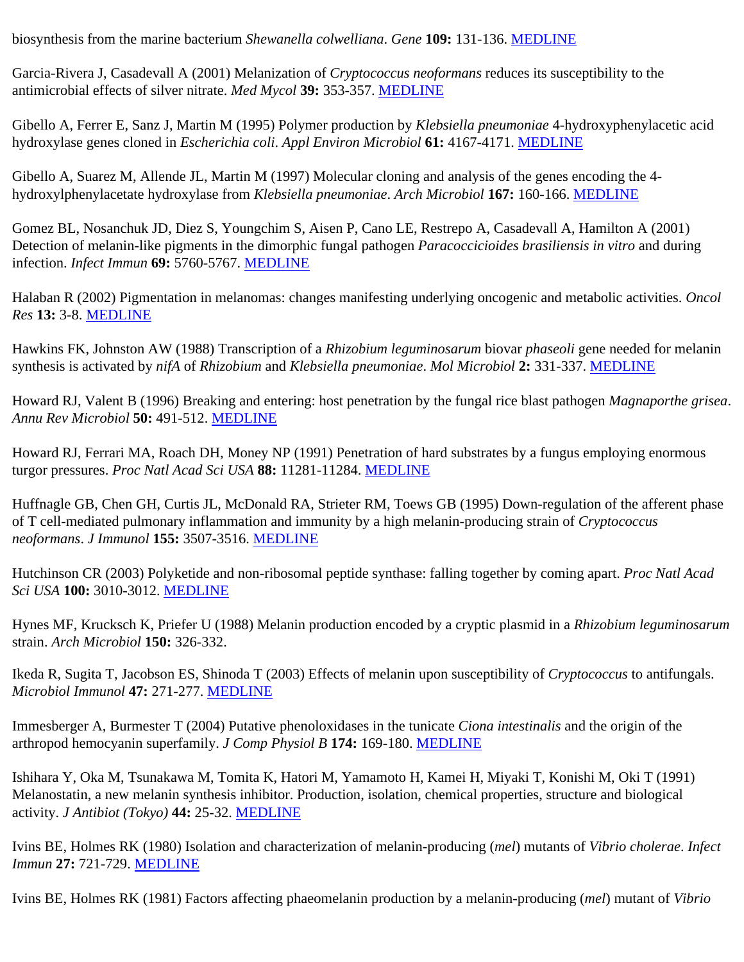biosynthesis from the marine bacterium *Shewanella colwelliana*. *Gene* **109:** 131-136. [MEDLINE](http://www.ncbi.nlm.nih.gov/entrez/query.fcgi?filters=&orig_db=PubMed&cmd=Search&term=Gene[jour]+AND+109[volume]+AND+131[page])

Garcia-Rivera J, Casadevall A (2001) Melanization of *Cryptococcus neoformans* reduces its susceptibility to the antimicrobial effects of silver nitrate. *Med Mycol* **39:** 353-357. [MEDLINE](http://www.ncbi.nlm.nih.gov/entrez/query.fcgi?filters=&orig_db=PubMed&cmd=Search&term=Med+Mycol[jour]+AND+39[volume]+AND+353[page])

Gibello A, Ferrer E, Sanz J, Martin M (1995) Polymer production by *Klebsiella pneumoniae* 4-hydroxyphenylacetic acid hydroxylase genes cloned in *Escherichia coli*. *Appl Environ Microbiol* **61:** 4167-4171. [MEDLINE](http://www.ncbi.nlm.nih.gov/entrez/query.fcgi?filters=&orig_db=PubMed&cmd=Search&term=Appl+Environ+Microbiol[jour]+AND+61[volume]+AND+4167[page])

Gibello A, Suarez M, Allende JL, Martin M (1997) Molecular cloning and analysis of the genes encoding the 4 hydroxylphenylacetate hydroxylase from *Klebsiella pneumoniae*. *Arch Microbiol* **167:** 160-166. [MEDLINE](http://www.ncbi.nlm.nih.gov/entrez/query.fcgi?filters=&orig_db=PubMed&cmd=Search&term=Arch+Microbiol[jour]+AND+167[volume]+AND+160[page])

Gomez BL, Nosanchuk JD, Diez S, Youngchim S, Aisen P, Cano LE, Restrepo A, Casadevall A, Hamilton A (2001) Detection of melanin-like pigments in the dimorphic fungal pathogen *Paracoccicioides brasiliensis in vitro* and during infection. *Infect Immun* **69:** 5760-5767. [MEDLINE](http://www.ncbi.nlm.nih.gov/entrez/query.fcgi?filters=&orig_db=PubMed&cmd=Search&term=Infect+Immun[jour]+AND+69[volume]+AND+5760[page])

Halaban R (2002) Pigmentation in melanomas: changes manifesting underlying oncogenic and metabolic activities. *Oncol Res* **13:** 3-8. [MEDLINE](http://www.ncbi.nlm.nih.gov/entrez/query.fcgi?filters=&orig_db=PubMed&cmd=Search&term=Oncol+Res[jour]+AND+13[volume]+AND+3[page])

Hawkins FK, Johnston AW (1988) Transcription of a *Rhizobium leguminosarum* biovar *phaseoli* gene needed for melanin synthesis is activated by *nifA* of *Rhizobium* and *Klebsiella pneumoniae*. *Mol Microbiol* **2:** 331-337. [MEDLINE](http://www.ncbi.nlm.nih.gov/entrez/query.fcgi?filters=&orig_db=PubMed&cmd=Search&term=Mol+Microbiol[jour]+AND+2[volume]+AND+331[page])

Howard RJ, Valent B (1996) Breaking and entering: host penetration by the fungal rice blast pathogen *Magnaporthe grisea*. *Annu Rev Microbiol* **50:** 491-512. [MEDLINE](http://www.ncbi.nlm.nih.gov/entrez/query.fcgi?filters=&orig_db=PubMed&cmd=Search&term=Annu+Rev+Microbiol[jour]+AND+50[volume]+AND+491[page])

Howard RJ, Ferrari MA, Roach DH, Money NP (1991) Penetration of hard substrates by a fungus employing enormous turgor pressures. *Proc Natl Acad Sci USA* **88:** 11281-11284. [MEDLINE](http://www.ncbi.nlm.nih.gov/entrez/query.fcgi?filters=&orig_db=PubMed&cmd=Search&term=Proc+Natl+Acad+Sci+USA[jour]+AND+88[volume]+AND+11281[page])

Huffnagle GB, Chen GH, Curtis JL, McDonald RA, Strieter RM, Toews GB (1995) Down-regulation of the afferent phase of T cell-mediated pulmonary inflammation and immunity by a high melanin-producing strain of *Cryptococcus neoformans*. *J Immunol* **155:** 3507-3516. [MEDLINE](http://www.ncbi.nlm.nih.gov/entrez/query.fcgi?filters=&orig_db=PubMed&cmd=Search&term=J+Immunol[jour]+AND+155[volume]+AND+3507[page])

Hutchinson CR (2003) Polyketide and non-ribosomal peptide synthase: falling together by coming apart. *Proc Natl Acad Sci USA* **100:** 3010-3012. [MEDLINE](http://www.ncbi.nlm.nih.gov/entrez/query.fcgi?filters=&orig_db=PubMed&cmd=Search&term=Proc+Natl+Acad+Sci+USA[jour]+AND+100[volume]+AND+3010[page])

Hynes MF, Krucksch K, Priefer U (1988) Melanin production encoded by a cryptic plasmid in a *Rhizobium leguminosarum* strain. *Arch Microbiol* **150:** 326-332.

Ikeda R, Sugita T, Jacobson ES, Shinoda T (2003) Effects of melanin upon susceptibility of *Cryptococcus* to antifungals. *Microbiol Immunol* **47:** 271-277. [MEDLINE](http://www.ncbi.nlm.nih.gov/entrez/query.fcgi?filters=&orig_db=PubMed&cmd=Search&term=Microbiol+Immunol[jour]+AND+47[volume]+AND+271[page])

Immesberger A, Burmester T (2004) Putative phenoloxidases in the tunicate *Ciona intestinalis* and the origin of the arthropod hemocyanin superfamily. *J Comp Physiol B* **174:** 169-180. [MEDLINE](http://www.ncbi.nlm.nih.gov/entrez/query.fcgi?filters=&orig_db=PubMed&cmd=Search&term=J+Comp+Physiol+B[jour]+AND+174[volume]+AND+169[page])

Ishihara Y, Oka M, Tsunakawa M, Tomita K, Hatori M, Yamamoto H, Kamei H, Miyaki T, Konishi M, Oki T (1991) Melanostatin, a new melanin synthesis inhibitor. Production, isolation, chemical properties, structure and biological activity. *J Antibiot (Tokyo)* **44:** 25-32. [MEDLINE](http://www.ncbi.nlm.nih.gov/entrez/query.fcgi?filters=&orig_db=PubMed&cmd=Search&term=J+Antibiot+Tokyo[jour]+AND+44[volume]+AND+25[page])

Ivins BE, Holmes RK (1980) Isolation and characterization of melanin-producing (*mel*) mutants of *Vibrio cholerae*. *Infect Immun* **27:** 721-729. [MEDLINE](http://www.ncbi.nlm.nih.gov/entrez/query.fcgi?filters=&orig_db=PubMed&cmd=Search&term=Infect+Immun[jour]+AND+27[volume]+AND+721[page])

Ivins BE, Holmes RK (1981) Factors affecting phaeomelanin production by a melanin-producing (*mel*) mutant of *Vibrio*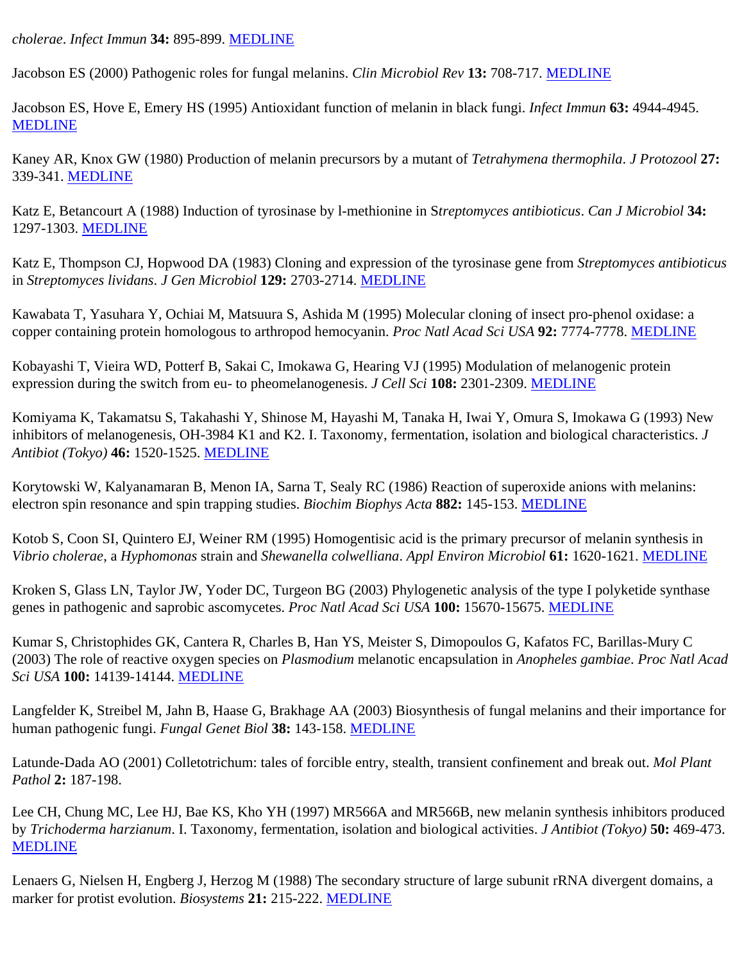*cholerae*. *Infect Immun* **34:** 895-899. [MEDLINE](http://www.ncbi.nlm.nih.gov/entrez/query.fcgi?filters=&orig_db=PubMed&cmd=Search&term=Infect+Immun[jour]+AND+34[volume]+AND+895[page])

Jacobson ES (2000) Pathogenic roles for fungal melanins. *Clin Microbiol Rev* **13:** 708-717. [MEDLINE](http://www.ncbi.nlm.nih.gov/entrez/query.fcgi?filters=&orig_db=PubMed&cmd=Search&term=Clin+Microbiol+Rev[jour]+AND+13[volume]+AND+708[page])

Jacobson ES, Hove E, Emery HS (1995) Antioxidant function of melanin in black fungi. *Infect Immun* **63:** 4944-4945. [MEDLINE](http://www.ncbi.nlm.nih.gov/entrez/query.fcgi?filters=&orig_db=PubMed&cmd=Search&term=Infect+Immun[jour]+AND+63[volume]+AND+4944[page])

Kaney AR, Knox GW (1980) Production of melanin precursors by a mutant of *Tetrahymena thermophila*. *J Protozool* **27:** 339-341. [MEDLINE](http://www.ncbi.nlm.nih.gov/entrez/query.fcgi?filters=&orig_db=PubMed&cmd=Search&term=J+Protozool[jour]+AND+27[volume]+AND+339[page])

Katz E, Betancourt A (1988) Induction of tyrosinase by l-methionine in S*treptomyces antibioticus*. *Can J Microbiol* **34:** 1297-1303. [MEDLINE](http://www.ncbi.nlm.nih.gov/entrez/query.fcgi?filters=&orig_db=PubMed&cmd=Search&term=Can+J+Microbiol[jour]+AND+34[volume]+AND+1297[page])

Katz E, Thompson CJ, Hopwood DA (1983) Cloning and expression of the tyrosinase gene from *Streptomyces antibioticus* in *Streptomyces lividans*. *J Gen Microbiol* **129:** 2703-2714. [MEDLINE](http://www.ncbi.nlm.nih.gov/entrez/query.fcgi?filters=&orig_db=PubMed&cmd=Search&term=J+Gen+Microbiol[jour]+AND+129[volume]+AND+2703[page])

Kawabata T, Yasuhara Y, Ochiai M, Matsuura S, Ashida M (1995) Molecular cloning of insect pro-phenol oxidase: a copper containing protein homologous to arthropod hemocyanin. *Proc Natl Acad Sci USA* **92:** 7774-7778. [MEDLINE](http://www.ncbi.nlm.nih.gov/entrez/query.fcgi?filters=&orig_db=PubMed&cmd=Search&term=Proc+Natl+Acad+Sci+USA[jour]+AND+92[volume]+AND+7774[page])

Kobayashi T, Vieira WD, Potterf B, Sakai C, Imokawa G, Hearing VJ (1995) Modulation of melanogenic protein expression during the switch from eu- to pheomelanogenesis. *J Cell Sci* **108:** 2301-2309. [MEDLINE](http://www.ncbi.nlm.nih.gov/entrez/query.fcgi?filters=&orig_db=PubMed&cmd=Search&term=J+Cell+Sci[jour]+AND+108[volume]+AND+2301[page])

Komiyama K, Takamatsu S, Takahashi Y, Shinose M, Hayashi M, Tanaka H, Iwai Y, Omura S, Imokawa G (1993) New inhibitors of melanogenesis, OH-3984 K1 and K2. I. Taxonomy, fermentation, isolation and biological characteristics. *J Antibiot (Tokyo)* **46:** 1520-1525. [MEDLINE](http://www.ncbi.nlm.nih.gov/entrez/query.fcgi?filters=&orig_db=PubMed&cmd=Search&term=J+Antibiot+Tokyo[jour]+AND+46[volume]+AND+1520[page])

Korytowski W, Kalyanamaran B, Menon IA, Sarna T, Sealy RC (1986) Reaction of superoxide anions with melanins: electron spin resonance and spin trapping studies. *Biochim Biophys Acta* **882:** 145-153. [MEDLINE](http://www.ncbi.nlm.nih.gov/entrez/query.fcgi?filters=&orig_db=PubMed&cmd=Search&term=Biochim+Biophys+Acta[jour]+AND+882[volume]+AND+145[page])

Kotob S, Coon SI, Quintero EJ, Weiner RM (1995) Homogentisic acid is the primary precursor of melanin synthesis in *Vibrio cholerae*, a *Hyphomonas* strain and *Shewanella colwelliana*. *Appl Environ Microbiol* **61:** 1620-1621. [MEDLINE](http://www.ncbi.nlm.nih.gov/entrez/query.fcgi?filters=&orig_db=PubMed&cmd=Search&term=Appl+Environ+Microbiol[jour]+AND+61[volume]+AND+1620[page])

Kroken S, Glass LN, Taylor JW, Yoder DC, Turgeon BG (2003) Phylogenetic analysis of the type I polyketide synthase genes in pathogenic and saprobic ascomycetes. *Proc Natl Acad Sci USA* **100:** 15670-15675. [MEDLINE](http://www.ncbi.nlm.nih.gov/entrez/query.fcgi?filters=&orig_db=PubMed&cmd=Search&term=Proc+Natl+Acad+Sci+USA[jour]+AND+100[volume]+AND+15670[page])

Kumar S, Christophides GK, Cantera R, Charles B, Han YS, Meister S, Dimopoulos G, Kafatos FC, Barillas-Mury C (2003) The role of reactive oxygen species on *Plasmodium* melanotic encapsulation in *Anopheles gambiae*. *Proc Natl Acad Sci USA* **100:** 14139-14144. [MEDLINE](http://www.ncbi.nlm.nih.gov/entrez/query.fcgi?filters=&orig_db=PubMed&cmd=Search&term=Proc+Natl+Acad+Sci+USA[jour]+AND+100[volume]+AND+14139[page])

Langfelder K, Streibel M, Jahn B, Haase G, Brakhage AA (2003) Biosynthesis of fungal melanins and their importance for human pathogenic fungi. *Fungal Genet Biol* **38:** 143-158. [MEDLINE](http://www.ncbi.nlm.nih.gov/entrez/query.fcgi?filters=&orig_db=PubMed&cmd=Search&term=Fungal+Genet+Biol[jour]+AND+38[volume]+AND+143[page])

Latunde-Dada AO (2001) Colletotrichum: tales of forcible entry, stealth, transient confinement and break out. *Mol Plant Pathol* **2:** 187-198.

Lee CH, Chung MC, Lee HJ, Bae KS, Kho YH (1997) MR566A and MR566B, new melanin synthesis inhibitors produced by *Trichoderma harzianum*. I. Taxonomy, fermentation, isolation and biological activities. *J Antibiot (Tokyo)* **50:** 469-473. [MEDLINE](http://www.ncbi.nlm.nih.gov/entrez/query.fcgi?filters=&orig_db=PubMed&cmd=Search&term=J+Antibiot+Tokyo[jour]+AND+50[volume]+AND+469[page])

Lenaers G, Nielsen H, Engberg J, Herzog M (1988) The secondary structure of large subunit rRNA divergent domains, a marker for protist evolution. *Biosystems* **21:** 215-222. [MEDLINE](http://www.ncbi.nlm.nih.gov/entrez/query.fcgi?filters=&orig_db=PubMed&cmd=Search&term=Biosystems[jour]+AND+21[volume]+AND+215[page])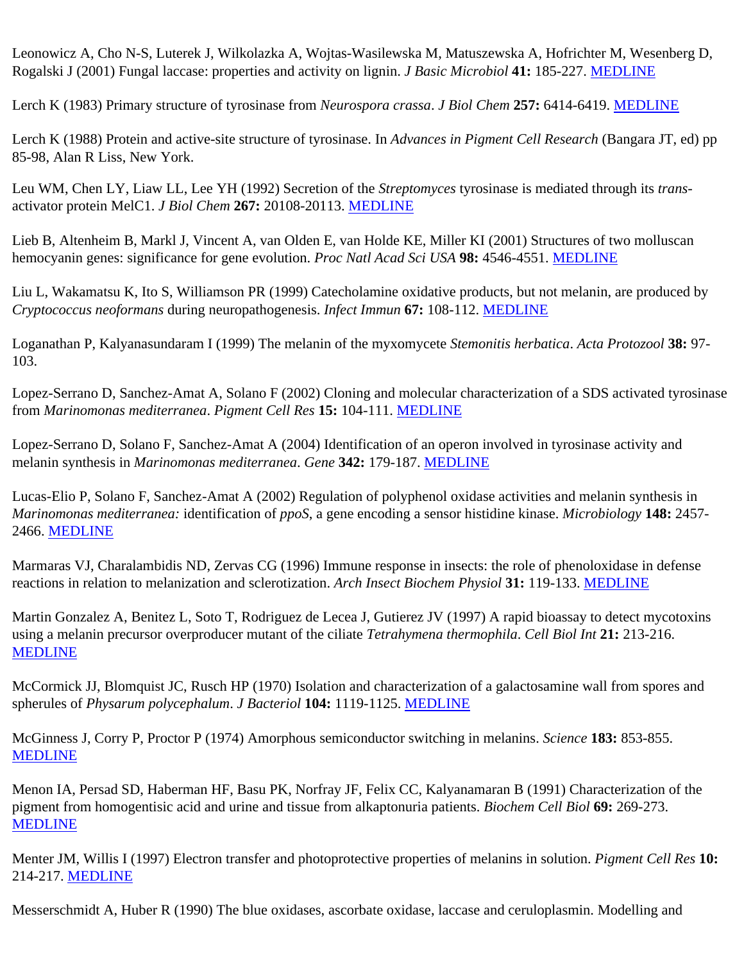Leonowicz A, Cho N-S, Luterek J, Wilkolazka A, Wojtas-Wasilewska M, Matuszewska A, Hofrichter M, Wesenberg D, Rogalski J (2001) Fungal laccase: properties and activity on lignin. *J Basic Microbiol* **41:** 185-227. [MEDLINE](http://www.ncbi.nlm.nih.gov/entrez/query.fcgi?filters=&orig_db=PubMed&cmd=Search&term=J+Basic+Microbiol[jour]+AND+41[volume]+AND+185[page])

Lerch K (1983) Primary structure of tyrosinase from *Neurospora crassa*. *J Biol Chem* **257:** 6414-6419. [MEDLINE](http://www.ncbi.nlm.nih.gov/entrez/query.fcgi?filters=&orig_db=PubMed&cmd=Search&term=J+Biol+Chem[jour]+AND+257[volume]+AND+6414[page])

Lerch K (1988) Protein and active-site structure of tyrosinase. In *Advances in Pigment Cell Research* (Bangara JT, ed) pp 85-98, Alan R Liss, New York.

Leu WM, Chen LY, Liaw LL, Lee YH (1992) Secretion of the *Streptomyces* tyrosinase is mediated through its *trans*activator protein MelC1. *J Biol Chem* **267:** 20108-20113. [MEDLINE](http://www.ncbi.nlm.nih.gov/entrez/query.fcgi?filters=&orig_db=PubMed&cmd=Search&term=J+Biol+Chem[jour]+AND+267[volume]+AND+20108[page])

Lieb B, Altenheim B, Markl J, Vincent A, van Olden E, van Holde KE, Miller KI (2001) Structures of two molluscan hemocyanin genes: significance for gene evolution. *Proc Natl Acad Sci USA* **98:** 4546-4551. [MEDLINE](http://www.ncbi.nlm.nih.gov/entrez/query.fcgi?filters=&orig_db=PubMed&cmd=Search&term=Proc+Natl+Acad+Sci+USA[jour]+AND+98[volume]+AND+4546[page])

Liu L, Wakamatsu K, Ito S, Williamson PR (1999) Catecholamine oxidative products, but not melanin, are produced by *Cryptococcus neoformans* during neuropathogenesis. *Infect Immun* **67:** 108-112. [MEDLINE](http://www.ncbi.nlm.nih.gov/entrez/query.fcgi?filters=&orig_db=PubMed&cmd=Search&term=Infect+Immun[jour]+AND+67[volume]+AND+108[page])

Loganathan P, Kalyanasundaram I (1999) The melanin of the myxomycete *Stemonitis herbatica*. *Acta Protozool* **38:** 97- 103.

Lopez-Serrano D, Sanchez-Amat A, Solano F (2002) Cloning and molecular characterization of a SDS activated tyrosinase from *Marinomonas mediterranea*. *Pigment Cell Res* **15:** 104-111. [MEDLINE](http://www.ncbi.nlm.nih.gov/entrez/query.fcgi?filters=&orig_db=PubMed&cmd=Search&term=Pigment+Cell+Res[jour]+AND+15[volume]+AND+104[page])

Lopez-Serrano D, Solano F, Sanchez-Amat A (2004) Identification of an operon involved in tyrosinase activity and melanin synthesis in *Marinomonas mediterranea*. *Gene* **342:** 179-187. [MEDLINE](http://www.ncbi.nlm.nih.gov/entrez/query.fcgi?filters=&orig_db=PubMed&cmd=Search&term=Gene[jour]+AND+342[volume]+AND+179[page])

Lucas-Elio P, Solano F, Sanchez-Amat A (2002) Regulation of polyphenol oxidase activities and melanin synthesis in *Marinomonas mediterranea:* identification of *ppoS*, a gene encoding a sensor histidine kinase. *Microbiology* **148:** 2457- 2466. [MEDLINE](http://www.ncbi.nlm.nih.gov/entrez/query.fcgi?filters=&orig_db=PubMed&cmd=Search&term=Microbiology[jour]+AND+148[volume]+AND+2457[page])

Marmaras VJ, Charalambidis ND, Zervas CG (1996) Immune response in insects: the role of phenoloxidase in defense reactions in relation to melanization and sclerotization. *Arch Insect Biochem Physiol* **31:** 119-133. [MEDLINE](http://www.ncbi.nlm.nih.gov/entrez/query.fcgi?filters=&orig_db=PubMed&cmd=Search&term=Arch+Insect+Biochem+Physiol[jour]+AND+31[volume]+AND+119[page])

Martin Gonzalez A, Benitez L, Soto T, Rodriguez de Lecea J, Gutierez JV (1997) A rapid bioassay to detect mycotoxins using a melanin precursor overproducer mutant of the ciliate *Tetrahymena thermophila*. *Cell Biol Int* **21:** 213-216. [MEDLINE](http://www.ncbi.nlm.nih.gov/entrez/query.fcgi?filters=&orig_db=PubMed&cmd=Search&term=Cell+Biol+Int[jour]+AND+21[volume]+AND+213[page])

McCormick JJ, Blomquist JC, Rusch HP (1970) Isolation and characterization of a galactosamine wall from spores and spherules of *Physarum polycephalum*. *J Bacteriol* **104:** 1119-1125. [MEDLINE](http://www.ncbi.nlm.nih.gov/entrez/query.fcgi?filters=&orig_db=PubMed&cmd=Search&term=J+Bacteriol[jour]+AND+104[volume]+AND+1119[page])

McGinness J, Corry P, Proctor P (1974) Amorphous semiconductor switching in melanins. *Science* **183:** 853-855. [MEDLINE](http://www.ncbi.nlm.nih.gov/entrez/query.fcgi?filters=&orig_db=PubMed&cmd=Search&term=Science[jour]+AND+183[volume]+AND+853[page])

Menon IA, Persad SD, Haberman HF, Basu PK, Norfray JF, Felix CC, Kalyanamaran B (1991) Characterization of the pigment from homogentisic acid and urine and tissue from alkaptonuria patients. *Biochem Cell Biol* **69:** 269-273. [MEDLINE](http://www.ncbi.nlm.nih.gov/entrez/query.fcgi?filters=&orig_db=PubMed&cmd=Search&term=Biochem+Cell+Biol[jour]+AND+69[volume]+AND+269[page])

Menter JM, Willis I (1997) Electron transfer and photoprotective properties of melanins in solution. *Pigment Cell Res* **10:** 214-217. [MEDLINE](http://www.ncbi.nlm.nih.gov/entrez/query.fcgi?filters=&orig_db=PubMed&cmd=Search&term=Pigment+Cell+Res[jour]+AND+10[volume]+AND+214[page])

Messerschmidt A, Huber R (1990) The blue oxidases, ascorbate oxidase, laccase and ceruloplasmin. Modelling and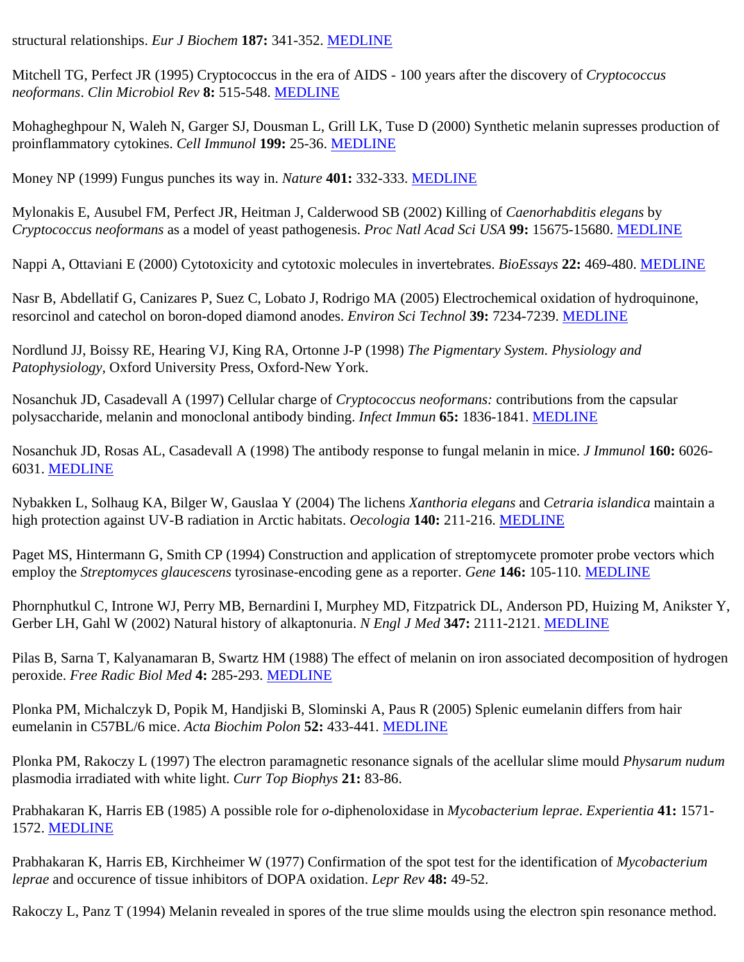structural relationships. *Eur J Biochem* **187:** 341-352. [MEDLINE](http://www.ncbi.nlm.nih.gov/entrez/query.fcgi?filters=&orig_db=PubMed&cmd=Search&term=Eur+J+Biochem[jour]+AND+187[volume]+AND+341[page])

Mitchell TG, Perfect JR (1995) Cryptococcus in the era of AIDS - 100 years after the discovery of *Cryptococcus neoformans*. *Clin Microbiol Rev* **8:** 515-548. [MEDLINE](http://www.ncbi.nlm.nih.gov/entrez/query.fcgi?filters=&orig_db=PubMed&cmd=Search&term=Clin+Microbiol+Rev[jour]+AND+8[volume]+AND+515[page])

Mohagheghpour N, Waleh N, Garger SJ, Dousman L, Grill LK, Tuse D (2000) Synthetic melanin supresses production of proinflammatory cytokines. *Cell Immunol* **199:** 25-36. [MEDLINE](http://www.ncbi.nlm.nih.gov/entrez/query.fcgi?filters=&orig_db=PubMed&cmd=Search&term=Cell+Immunol[jour]+AND+199[volume]+AND+25[page])

Money NP (1999) Fungus punches its way in. *Nature* **401:** 332-333. [MEDLINE](http://www.ncbi.nlm.nih.gov/entrez/query.fcgi?filters=&orig_db=PubMed&cmd=Search&term=Nature[jour]+AND+401[volume]+AND+332[page])

Mylonakis E, Ausubel FM, Perfect JR, Heitman J, Calderwood SB (2002) Killing of *Caenorhabditis elegans* by *Cryptococcus neoformans* as a model of yeast pathogenesis. *Proc Natl Acad Sci USA* **99:** 15675-15680. [MEDLINE](http://www.ncbi.nlm.nih.gov/entrez/query.fcgi?filters=&orig_db=PubMed&cmd=Search&term=Proc+Natl+Acad+Sci+USA[jour]+AND+99[volume]+AND+15675[page])

Nappi A, Ottaviani E (2000) Cytotoxicity and cytotoxic molecules in invertebrates. *BioEssays* **22:** 469-480. [MEDLINE](http://www.ncbi.nlm.nih.gov/entrez/query.fcgi?filters=&orig_db=PubMed&cmd=Search&term=BioEssays[jour]+AND+22[volume]+AND+469[page])

Nasr B, Abdellatif G, Canizares P, Suez C, Lobato J, Rodrigo MA (2005) Electrochemical oxidation of hydroquinone, resorcinol and catechol on boron-doped diamond anodes. *Environ Sci Technol* **39:** 7234-7239. [MEDLINE](http://www.ncbi.nlm.nih.gov/entrez/query.fcgi?filters=&orig_db=PubMed&cmd=Search&term=Environ+Sci+Technol[jour]+AND+39[volume]+AND+7234[page])

Nordlund JJ, Boissy RE, Hearing VJ, King RA, Ortonne J-P (1998) *The Pigmentary System. Physiology and Patophysiology,* Oxford University Press, Oxford-New York.

Nosanchuk JD, Casadevall A (1997) Cellular charge of *Cryptococcus neoformans:* contributions from the capsular polysaccharide, melanin and monoclonal antibody binding. *Infect Immun* **65:** 1836-1841. [MEDLINE](http://www.ncbi.nlm.nih.gov/entrez/query.fcgi?filters=&orig_db=PubMed&cmd=Search&term=Infect+Immun[jour]+AND+65[volume]+AND+1836[page])

Nosanchuk JD, Rosas AL, Casadevall A (1998) The antibody response to fungal melanin in mice. *J Immunol* **160:** 6026- 6031. [MEDLINE](http://www.ncbi.nlm.nih.gov/entrez/query.fcgi?filters=&orig_db=PubMed&cmd=Search&term=J+Immunol[jour]+AND+160[volume]+AND+6026[page])

Nybakken L, Solhaug KA, Bilger W, Gauslaa Y (2004) The lichens *Xanthoria elegans* and *Cetraria islandica* maintain a high protection against UV-B radiation in Arctic habitats. *Oecologia* **140:** 211-216. [MEDLINE](http://www.ncbi.nlm.nih.gov/entrez/query.fcgi?filters=&orig_db=PubMed&cmd=Search&term=Oecologia[jour]+AND+140[volume]+AND+211[page])

Paget MS, Hintermann G, Smith CP (1994) Construction and application of streptomycete promoter probe vectors which employ the *Streptomyces glaucescens* tyrosinase-encoding gene as a reporter. *Gene* **146:** 105-110. [MEDLINE](http://www.ncbi.nlm.nih.gov/entrez/query.fcgi?filters=&orig_db=PubMed&cmd=Search&term=Gene[jour]+AND+146[volume]+AND+105[page])

Phornphutkul C, Introne WJ, Perry MB, Bernardini I, Murphey MD, Fitzpatrick DL, Anderson PD, Huizing M, Anikster Y, Gerber LH, Gahl W (2002) Natural history of alkaptonuria. *N Engl J Med* **347:** 2111-2121. [MEDLINE](http://www.ncbi.nlm.nih.gov/entrez/query.fcgi?filters=&orig_db=PubMed&cmd=Search&term=N+Engl+J+Med[jour]+AND+347[volume]+AND+2111[page])

Pilas B, Sarna T, Kalyanamaran B, Swartz HM (1988) The effect of melanin on iron associated decomposition of hydrogen peroxide. *Free Radic Biol Med* **4:** 285-293. [MEDLINE](http://www.ncbi.nlm.nih.gov/entrez/query.fcgi?filters=&orig_db=PubMed&cmd=Search&term=Free+Radic+Biol+Med[jour]+AND+4[volume]+AND+285[page])

Plonka PM, Michalczyk D, Popik M, Handjiski B, Slominski A, Paus R (2005) Splenic eumelanin differs from hair eumelanin in C57BL/6 mice. *Acta Biochim Polon* **52:** 433-441. [MEDLINE](http://www.ncbi.nlm.nih.gov/entrez/query.fcgi?filters=&orig_db=PubMed&cmd=Search&term=Acta+Biochim+Polon[jour]+AND+52[volume]+AND+433[page])

Plonka PM, Rakoczy L (1997) The electron paramagnetic resonance signals of the acellular slime mould *Physarum nudum* plasmodia irradiated with white light. *Curr Top Biophys* **21:** 83-86.

Prabhakaran K, Harris EB (1985) A possible role for *o*-diphenoloxidase in *Mycobacterium leprae*. *Experientia* **41:** 1571- 1572. [MEDLINE](http://www.ncbi.nlm.nih.gov/entrez/query.fcgi?filters=&orig_db=PubMed&cmd=Search&term=Experientia[jour]+AND+41[volume]+AND+1571[page])

Prabhakaran K, Harris EB, Kirchheimer W (1977) Confirmation of the spot test for the identification of *Mycobacterium leprae* and occurence of tissue inhibitors of DOPA oxidation. *Lepr Rev* **48:** 49-52.

Rakoczy L, Panz T (1994) Melanin revealed in spores of the true slime moulds using the electron spin resonance method.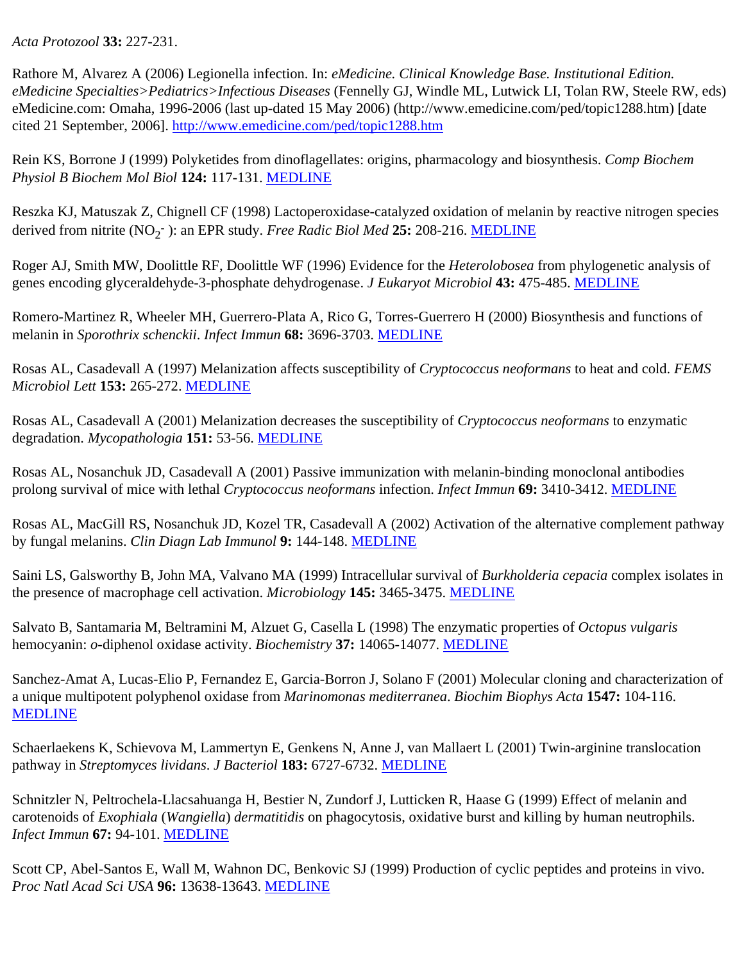*Acta Protozool* **33:** 227-231.

Rathore M, Alvarez A (2006) Legionella infection. In: *eMedicine. Clinical Knowledge Base. Institutional Edition. eMedicine Specialties>Pediatrics>Infectious Diseases* (Fennelly GJ, Windle ML, Lutwick LI, Tolan RW, Steele RW, eds) eMedicine.com: Omaha, 1996-2006 (last up-dated 15 May 2006) (http://www.emedicine.com/ped/topic1288.htm) [date cited 21 September, 2006]. <http://www.emedicine.com/ped/topic1288.htm>

Rein KS, Borrone J (1999) Polyketides from dinoflagellates: origins, pharmacology and biosynthesis. *Comp Biochem Physiol B Biochem Mol Biol* **124:** 117-131. [MEDLINE](http://www.ncbi.nlm.nih.gov/entrez/query.fcgi?filters=&orig_db=PubMed&cmd=Search&term=Comp Biochem Physiol+B+Biochem+Mol+Biol[jour]+AND+124[volume]+AND+117[page])

Reszka KJ, Matuszak Z, Chignell CF (1998) Lactoperoxidase-catalyzed oxidation of melanin by reactive nitrogen species derived from nitrite (NO<sub>2</sub><sup>-</sup>): an EPR study. *Free Radic Biol Med* 25: 208-216. [MEDLINE](http://www.ncbi.nlm.nih.gov/entrez/query.fcgi?filters=&orig_db=PubMed&cmd=Search&term=Free+Radic+Biol+Med[jour]+AND+25[volume]+AND+208[page])

Roger AJ, Smith MW, Doolittle RF, Doolittle WF (1996) Evidence for the *Heterolobosea* from phylogenetic analysis of genes encoding glyceraldehyde-3-phosphate dehydrogenase. *J Eukaryot Microbiol* **43:** 475-485. [MEDLINE](http://www.ncbi.nlm.nih.gov/entrez/query.fcgi?filters=&orig_db=PubMed&cmd=Search&term=J+Eukaryot+Microbiol[jour]+AND+43[volume]+AND+475[page])

Romero-Martinez R, Wheeler MH, Guerrero-Plata A, Rico G, Torres-Guerrero H (2000) Biosynthesis and functions of melanin in *Sporothrix schenckii*. *Infect Immun* **68:** 3696-3703. [MEDLINE](http://www.ncbi.nlm.nih.gov/entrez/query.fcgi?filters=&orig_db=PubMed&cmd=Search&term=Infect+Immun[jour]+AND+68[volume]+AND+3696[page])

Rosas AL, Casadevall A (1997) Melanization affects susceptibility of *Cryptococcus neoformans* to heat and cold. *FEMS Microbiol Lett* **153:** 265-272. [MEDLINE](http://www.ncbi.nlm.nih.gov/entrez/query.fcgi?filters=&orig_db=PubMed&cmd=Search&term=FEMS+Microbiol+Lett[jour]+AND+153[volume]+AND+265[page])

Rosas AL, Casadevall A (2001) Melanization decreases the susceptibility of *Cryptococcus neoformans* to enzymatic degradation. *Mycopathologia* **151:** 53-56. [MEDLINE](http://www.ncbi.nlm.nih.gov/entrez/query.fcgi?filters=&orig_db=PubMed&cmd=Search&term=Mycopathologia[jour]+AND+151[volume]+AND+53[page])

Rosas AL, Nosanchuk JD, Casadevall A (2001) Passive immunization with melanin-binding monoclonal antibodies prolong survival of mice with lethal *Cryptococcus neoformans* infection. *Infect Immun* **69:** 3410-3412. [MEDLINE](http://www.ncbi.nlm.nih.gov/entrez/query.fcgi?filters=&orig_db=PubMed&cmd=Search&term=Infect+Immun[jour]+AND+69[volume]+AND+3410[page])

Rosas AL, MacGill RS, Nosanchuk JD, Kozel TR, Casadevall A (2002) Activation of the alternative complement pathway by fungal melanins. *Clin Diagn Lab Immunol* **9:** 144-148. [MEDLINE](http://www.ncbi.nlm.nih.gov/entrez/query.fcgi?filters=&orig_db=PubMed&cmd=Search&term=Clin+Diagn+Lab+Immunol[jour]+AND+9[volume]+AND+144[page])

Saini LS, Galsworthy B, John MA, Valvano MA (1999) Intracellular survival of *Burkholderia cepacia* complex isolates in the presence of macrophage cell activation. *Microbiology* **145:** 3465-3475. [MEDLINE](http://www.ncbi.nlm.nih.gov/entrez/query.fcgi?filters=&orig_db=PubMed&cmd=Search&term=Microbiology[jour]+AND+145[volume]+AND+3465[page])

Salvato B, Santamaria M, Beltramini M, Alzuet G, Casella L (1998) The enzymatic properties of *Octopus vulgaris* hemocyanin: *o*-diphenol oxidase activity. *Biochemistry* **37:** 14065-14077. [MEDLINE](http://www.ncbi.nlm.nih.gov/entrez/query.fcgi?filters=&orig_db=PubMed&cmd=Search&term=Biochemistry[jour]+AND+37[volume]+AND+14065[page])

Sanchez-Amat A, Lucas-Elio P, Fernandez E, Garcia-Borron J, Solano F (2001) Molecular cloning and characterization of a unique multipotent polyphenol oxidase from *Marinomonas mediterranea*. *Biochim Biophys Acta* **1547:** 104-116. [MEDLINE](http://www.ncbi.nlm.nih.gov/entrez/query.fcgi?filters=&orig_db=PubMed&cmd=Search&term=Biochim+Biophys+Acta[jour]+AND+1547[volume]+AND+104[page])

Schaerlaekens K, Schievova M, Lammertyn E, Genkens N, Anne J, van Mallaert L (2001) Twin-arginine translocation pathway in *Streptomyces lividans*. *J Bacteriol* **183:** 6727-6732. [MEDLINE](http://www.ncbi.nlm.nih.gov/entrez/query.fcgi?filters=&orig_db=PubMed&cmd=Search&term=J+Bacteriol[jour]+AND+183[volume]+AND+6727[page])

Schnitzler N, Peltrochela-Llacsahuanga H, Bestier N, Zundorf J, Lutticken R, Haase G (1999) Effect of melanin and carotenoids of *Exophiala* (*Wangiella*) *dermatitidis* on phagocytosis, oxidative burst and killing by human neutrophils. *Infect Immun* **67:** 94-101. [MEDLINE](http://www.ncbi.nlm.nih.gov/entrez/query.fcgi?filters=&orig_db=PubMed&cmd=Search&term=Infect+Immun[jour]+AND+67[volume]+AND+94[page])

Scott CP, Abel-Santos E, Wall M, Wahnon DC, Benkovic SJ (1999) Production of cyclic peptides and proteins in vivo. *Proc Natl Acad Sci USA* **96:** 13638-13643. [MEDLINE](http://www.ncbi.nlm.nih.gov/entrez/query.fcgi?filters=&orig_db=PubMed&cmd=Search&term=Proc+Natl+Acad+Sci+USA[jour]+AND+96[volume]+AND+13638[page])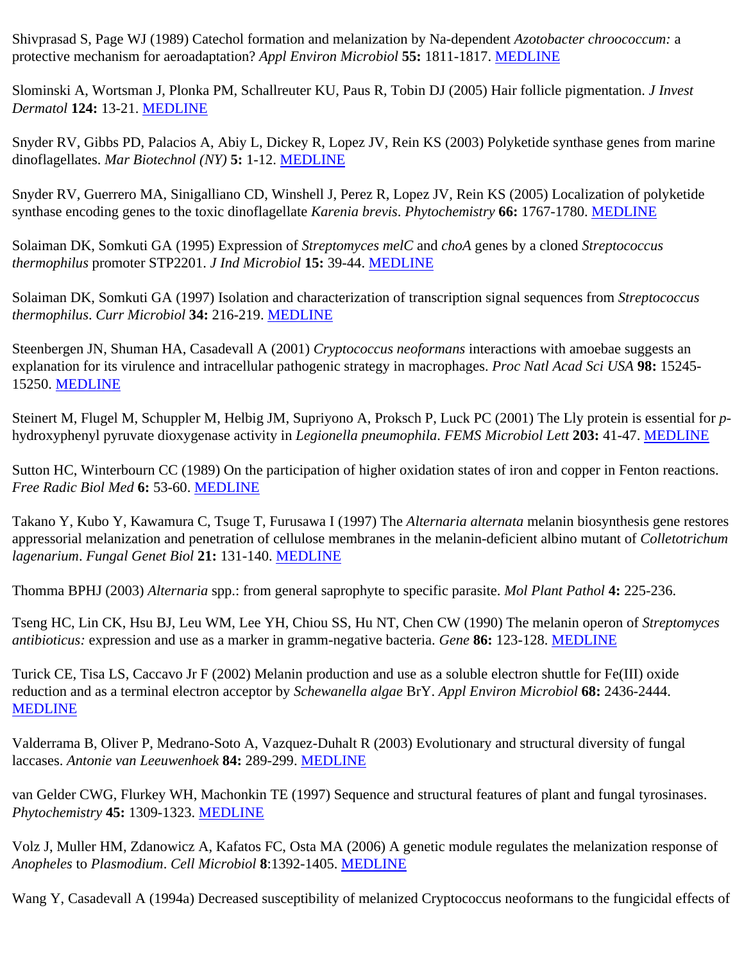Shivprasad S, Page WJ (1989) Catechol formation and melanization by Na-dependent *Azotobacter chroococcum:* a protective mechanism for aeroadaptation? *Appl Environ Microbiol* **55:** 1811-1817. [MEDLINE](http://www.ncbi.nlm.nih.gov/entrez/query.fcgi?filters=&orig_db=PubMed&cmd=Search&term=Appl+Environ+Microbiol[jour]+AND+55[volume]+AND+1811[page])

Slominski A, Wortsman J, Plonka PM, Schallreuter KU, Paus R, Tobin DJ (2005) Hair follicle pigmentation. *J Invest Dermatol* **124:** 13-21. [MEDLINE](http://www.ncbi.nlm.nih.gov/entrez/query.fcgi?filters=&orig_db=PubMed&cmd=Search&term=J+Invest+Dermatol[jour]+AND+124[volume]+AND+13[page])

Snyder RV, Gibbs PD, Palacios A, Abiy L, Dickey R, Lopez JV, Rein KS (2003) Polyketide synthase genes from marine dinoflagellates. *Mar Biotechnol (NY)* **5:** 1-12. [MEDLINE](http://www.ncbi.nlm.nih.gov/entrez/query.fcgi?filters=&orig_db=PubMed&cmd=Search&term=Mar+Biotechnol+NY[jour]+AND+5[volume]+AND+1[page])

Snyder RV, Guerrero MA, Sinigalliano CD, Winshell J, Perez R, Lopez JV, Rein KS (2005) Localization of polyketide synthase encoding genes to the toxic dinoflagellate *Karenia brevis*. *Phytochemistry* **66:** 1767-1780. [MEDLINE](http://www.ncbi.nlm.nih.gov/entrez/query.fcgi?filters=&orig_db=PubMed&cmd=Search&term=Phytochemistry[jour]+AND+66[volume]+AND+1767[page])

Solaiman DK, Somkuti GA (1995) Expression of *Streptomyces melC* and *choA* genes by a cloned *Streptococcus thermophilus* promoter STP2201. *J Ind Microbiol* **15:** 39-44. [MEDLINE](http://www.ncbi.nlm.nih.gov/entrez/query.fcgi?filters=&orig_db=PubMed&cmd=Search&term=J+Ind+Microbiol[jour]+AND+15[volume]+AND+39[page])

Solaiman DK, Somkuti GA (1997) Isolation and characterization of transcription signal sequences from *Streptococcus thermophilus*. *Curr Microbiol* **34:** 216-219. [MEDLINE](http://www.ncbi.nlm.nih.gov/entrez/query.fcgi?filters=&orig_db=PubMed&cmd=Search&term=Curr+Microbiol[jour]+AND+34[volume]+AND+216[page])

Steenbergen JN, Shuman HA, Casadevall A (2001) *Cryptococcus neoformans* interactions with amoebae suggests an explanation for its virulence and intracellular pathogenic strategy in macrophages. *Proc Natl Acad Sci USA* **98:** 15245- 15250. [MEDLINE](http://www.ncbi.nlm.nih.gov/entrez/query.fcgi?filters=&orig_db=PubMed&cmd=Search&term=Proc+Natl+Acad+Sci+USA[jour]+AND+98[volume]+AND+15245[page])

Steinert M, Flugel M, Schuppler M, Helbig JM, Supriyono A, Proksch P, Luck PC (2001) The Lly protein is essential for *p*hydroxyphenyl pyruvate dioxygenase activity in *Legionella pneumophila*. *FEMS Microbiol Lett* **203:** 41-47. [MEDLINE](http://www.ncbi.nlm.nih.gov/entrez/query.fcgi?filters=&orig_db=PubMed&cmd=Search&term=FEMS+Microbiol+Lett[jour]+AND+203[volume]+AND+41[page])

Sutton HC, Winterbourn CC (1989) On the participation of higher oxidation states of iron and copper in Fenton reactions. *Free Radic Biol Med* **6:** 53-60. [MEDLINE](http://www.ncbi.nlm.nih.gov/entrez/query.fcgi?filters=&orig_db=PubMed&cmd=Search&term=Free+Radic+Biol+Med[jour]+AND+6[volume]+AND+53[page])

Takano Y, Kubo Y, Kawamura C, Tsuge T, Furusawa I (1997) The *Alternaria alternata* melanin biosynthesis gene restores appressorial melanization and penetration of cellulose membranes in the melanin-deficient albino mutant of *Colletotrichum lagenarium*. *Fungal Genet Biol* **21:** 131-140. [MEDLINE](http://www.ncbi.nlm.nih.gov/entrez/query.fcgi?filters=&orig_db=PubMed&cmd=Search&term=Fungal+Genet+Biol[jour]+AND+21[volume]+AND+131[page])

Thomma BPHJ (2003) *Alternaria* spp.: from general saprophyte to specific parasite. *Mol Plant Pathol* **4:** 225-236.

Tseng HC, Lin CK, Hsu BJ, Leu WM, Lee YH, Chiou SS, Hu NT, Chen CW (1990) The melanin operon of *Streptomyces antibioticus:* expression and use as a marker in gramm-negative bacteria. *Gene* **86:** 123-128. [MEDLINE](http://www.ncbi.nlm.nih.gov/entrez/query.fcgi?filters=&orig_db=PubMed&cmd=Search&term=Gene[jour]+AND+86[volume]+AND+123[page])

Turick CE, Tisa LS, Caccavo Jr F (2002) Melanin production and use as a soluble electron shuttle for Fe(III) oxide reduction and as a terminal electron acceptor by *Schewanella algae* BrY. *Appl Environ Microbiol* **68:** 2436-2444. [MEDLINE](http://www.ncbi.nlm.nih.gov/entrez/query.fcgi?filters=&orig_db=PubMed&cmd=Search&term=Appl+Environ+Microbiol[jour]+AND+68[volume]+AND+2436[page])

Valderrama B, Oliver P, Medrano-Soto A, Vazquez-Duhalt R (2003) Evolutionary and structural diversity of fungal laccases. *Antonie van Leeuwenhoek* **84:** 289-299. [MEDLINE](http://www.ncbi.nlm.nih.gov/entrez/query.fcgi?filters=&orig_db=PubMed&cmd=Search&term=Antonie+van+Leeuwenhoek[jour]+AND+84[volume]+AND+289[page])

van Gelder CWG, Flurkey WH, Machonkin TE (1997) Sequence and structural features of plant and fungal tyrosinases. *Phytochemistry* **45:** 1309-1323. [MEDLINE](http://www.ncbi.nlm.nih.gov/entrez/query.fcgi?filters=&orig_db=PubMed&cmd=Search&term=Phytochemistry[jour]+AND+45[volume]+AND+1309[page])

Volz J, Muller HM, Zdanowicz A, Kafatos FC, Osta MA (2006) A genetic module regulates the melanization response of *Anopheles* to *Plasmodium*. *Cell Microbiol* **8**:1392-1405. [MEDLINE](http://www.ncbi.nlm.nih.gov/entrez/query.fcgi?filters=&orig_db=PubMed&cmd=Search&term=Cell+Microbiol[jour]+AND+8[volume]+AND+1392[page])

Wang Y, Casadevall A (1994a) Decreased susceptibility of melanized Cryptococcus neoformans to the fungicidal effects of